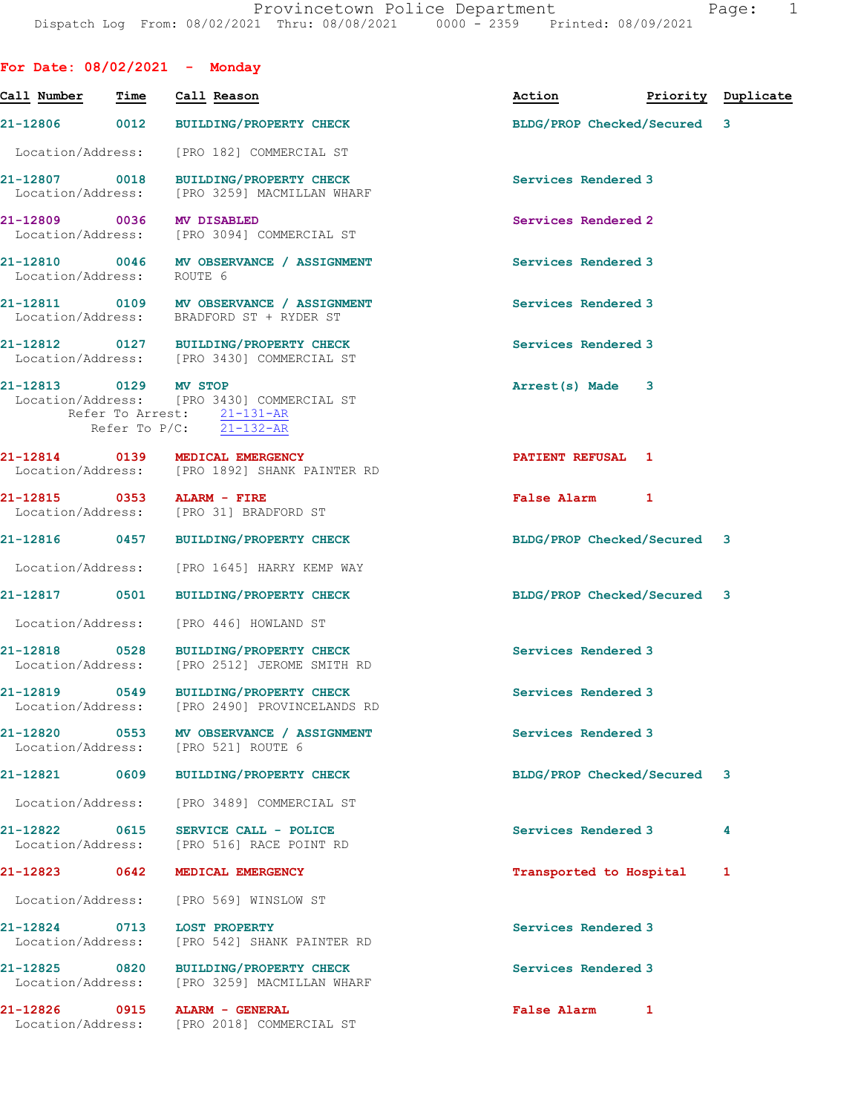| For Date: 08/02/2021 - Monday      |      |                                                                                                        |                             |                    |
|------------------------------------|------|--------------------------------------------------------------------------------------------------------|-----------------------------|--------------------|
| Call Number                        | Time | Call Reason                                                                                            | Action                      | Priority Duplicate |
|                                    |      | 21-12806 0012 BUILDING/PROPERTY CHECK                                                                  | BLDG/PROP Checked/Secured 3 |                    |
|                                    |      | Location/Address: [PRO 182] COMMERCIAL ST                                                              |                             |                    |
|                                    |      | 21-12807 0018 BUILDING/PROPERTY CHECK<br>Location/Address: [PRO 3259] MACMILLAN WHARF                  | Services Rendered 3         |                    |
| 21-12809 0036 MV DISABLED          |      | Location/Address: [PRO 3094] COMMERCIAL ST                                                             | Services Rendered 2         |                    |
| Location/Address: ROUTE 6          |      | 21-12810 0046 MV OBSERVANCE / ASSIGNMENT                                                               | Services Rendered 3         |                    |
|                                    |      | 21-12811 0109 MV OBSERVANCE / ASSIGNMENT<br>Location/Address: BRADFORD ST + RYDER ST                   | Services Rendered 3         |                    |
|                                    |      | 21-12812 0127 BUILDING/PROPERTY CHECK<br>Location/Address: [PRO 3430] COMMERCIAL ST                    | Services Rendered 3         |                    |
| 21-12813 0129 MV STOP              |      | Location/Address: [PRO 3430] COMMERCIAL ST<br>Refer To Arrest: 21-131-AR<br>Refer To $P/C$ : 21-132-AR | Arrest(s) Made 3            |                    |
|                                    |      | 21-12814 0139 MEDICAL EMERGENCY<br>Location/Address: [PRO 1892] SHANK PAINTER RD                       | PATIENT REFUSAL 1           |                    |
| 21-12815 0353 ALARM - FIRE         |      | Location/Address: [PRO 31] BRADFORD ST                                                                 | <b>False Alarm</b><br>1     |                    |
|                                    |      | 21-12816 0457 BUILDING/PROPERTY CHECK                                                                  | BLDG/PROP Checked/Secured 3 |                    |
|                                    |      | Location/Address: [PRO 1645] HARRY KEMP WAY                                                            |                             |                    |
|                                    |      | 21-12817 0501 BUILDING/PROPERTY CHECK                                                                  | BLDG/PROP Checked/Secured 3 |                    |
|                                    |      | Location/Address: [PRO 446] HOWLAND ST                                                                 |                             |                    |
|                                    |      | 21-12818 0528 BUILDING/PROPERTY CHECK<br>Location/Address: [PRO 2512] JEROME SMITH RD                  | Services Rendered 3         |                    |
| 21-12819<br>Location/Address:      | 0549 | <b>BUILDING/PROPERTY CHECK</b><br>[PRO 2490] PROVINCELANDS RD                                          | Services Rendered 3         |                    |
| 21-12820 0553<br>Location/Address: |      | MV OBSERVANCE / ASSIGNMENT<br>[PRO 521] ROUTE 6                                                        | Services Rendered 3         |                    |
| 21-12821                           | 0609 | <b>BUILDING/PROPERTY CHECK</b>                                                                         | BLDG/PROP Checked/Secured 3 |                    |
| Location/Address:                  |      | [PRO 3489] COMMERCIAL ST                                                                               |                             |                    |
| 21-12822<br>Location/Address:      | 0615 | SERVICE CALL - POLICE<br>[PRO 516] RACE POINT RD                                                       | Services Rendered 3         | 4                  |
| 21-12823                           | 0642 | MEDICAL EMERGENCY                                                                                      | Transported to Hospital     | 1                  |
| Location/Address:                  |      | [PRO 569] WINSLOW ST                                                                                   |                             |                    |
| 21-12824 0713<br>Location/Address: |      | <b>LOST PROPERTY</b><br>[PRO 542] SHANK PAINTER RD                                                     | Services Rendered 3         |                    |
| 21-12825 0820<br>Location/Address: |      | <b>BUILDING/PROPERTY CHECK</b><br>[PRO 3259] MACMILLAN WHARF                                           | Services Rendered 3         |                    |
| 21-12826                           | 0915 | ALARM - GENERAL<br>Location/Address: [PRO 2018] COMMERCIAL ST                                          | <b>False Alarm</b><br>1     |                    |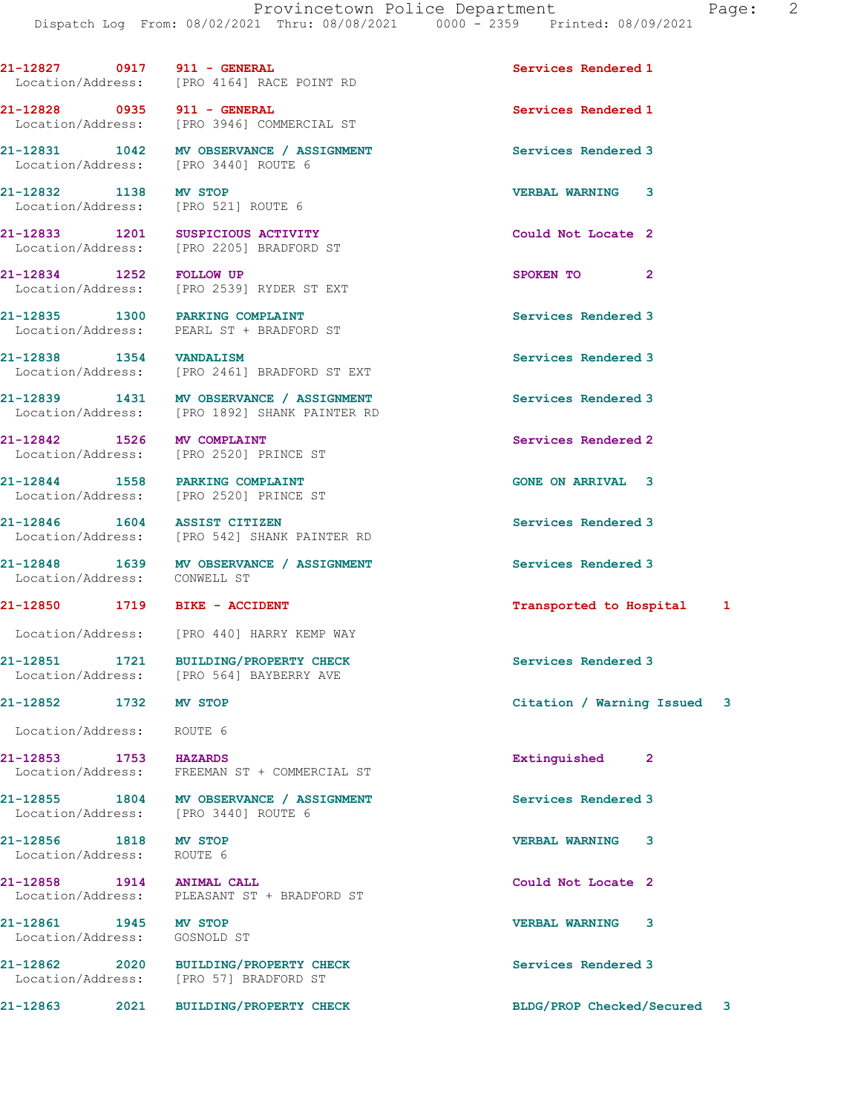21-12827 0917 911 - GENERAL Services Rendered 1

Location/Address: [PRO 4164] RACE POINT RD

21-12828 0935 911 - GENERAL Services Rendered 1 Location/Address: [PRO 3946] COMMERCIAL ST 21-12831 1042 MV OBSERVANCE / ASSIGNMENT Services Rendered 3 Location/Address: [PRO 3440] ROUTE 6 21-12832 1138 MV STOP VERBAL WARNING 3 Location/Address: [PRO 521] ROUTE 6 21-12833 1201 SUSPICIOUS ACTIVITY Could Not Locate 2 Location/Address: [PRO 2205] BRADFORD ST 21-12834 1252 FOLLOW UP SPOKEN TO 2 Location/Address: [PRO 2539] RYDER ST EXT 21-12835 1300 PARKING COMPLAINT Services Rendered 3 Location/Address: PEARL ST + BRADFORD ST 21-12838 1354 VANDALISM Services Rendered 3<br>
Location/Address: [PRO 2461] BRADFORD ST EXT Location/Address: [PRO 2461] BRADFORD ST EXT 21-12839 1431 MV OBSERVANCE / ASSIGNMENT Services Rendered 3<br>
Location/Address: [PRO 1892] SHANK PAINTER RD [PRO 1892] SHANK PAINTER RD 21-12842 1526 MV COMPLAINT Services Rendered 2 Location/Address: [PRO 2520] PRINCE ST 21-12844 1558 PARKING COMPLAINT GONE ON ARRIVAL 3 Location/Address: [PRO 2520] PRINCE ST 21-12846 1604 ASSIST CITIZEN Services Rendered 3 Location/Address: [PRO 542] SHANK PAINTER RD 21-12848 1639 MV OBSERVANCE / ASSIGNMENT Services Rendered 3<br>
Location/Address: CONWELL ST Location/Address: 21-12850 1719 BIKE - ACCIDENT **12850 121-12850** 1719 BIKE - ACCIDENT Location/Address: [PRO 440] HARRY KEMP WAY 21-12851 1721 BUILDING/PROPERTY CHECK Services Rendered 3 Location/Address: [PRO 564] BAYBERRY AVE 21-12852 1732 MV STOP Citation / Warning Issued 3 Location/Address: ROUTE 6 21-12853 1753 HAZARDS Extinguished 2 Location/Address: FREEMAN ST + COMMERCIAL ST 21-12855 1804 MV OBSERVANCE / ASSIGNMENT Services Rendered 3 Location/Address: [PRO 3440] ROUTE 6 21-12856 1818 MV STOP VERBAL WARNING 3 Location/Address: ROUTE 6 21-12858 1914 ANIMAL CALL 2001 Could Not Locate 2 Location/Address: PLEASANT ST + BRADFORD ST 21-12861 1945 MV STOP VERBAL WARNING 3 Location/Address: GOSNOLD ST 21-12862 2020 BUILDING/PROPERTY CHECK Services Rendered 3 Location/Address: [PRO 57] BRADFORD ST 21-12863 2021 BUILDING/PROPERTY CHECK BLDG/PROP Checked/Secured 3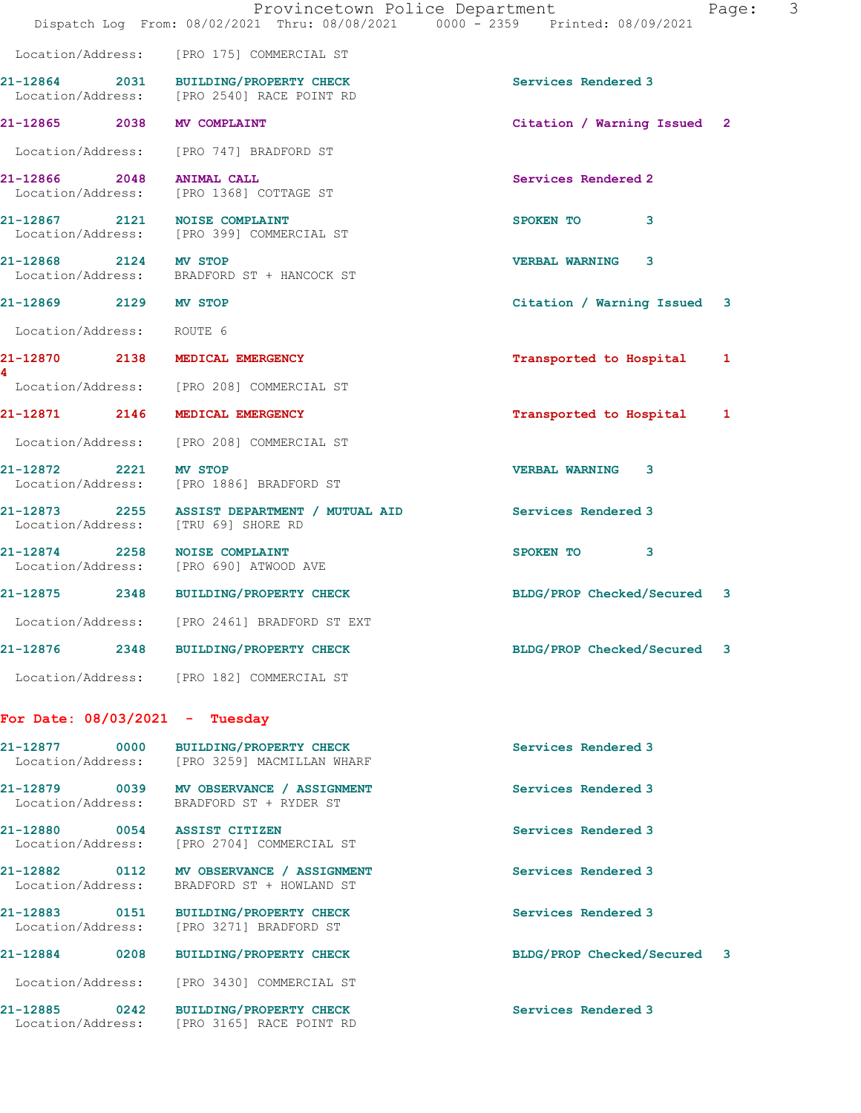|                                    | Provincetown Police Department<br>Dispatch Log From: 08/02/2021 Thru: 08/08/2021 0000 - 2359 Printed: 08/09/2021 | Page:                        | 3 |
|------------------------------------|------------------------------------------------------------------------------------------------------------------|------------------------------|---|
|                                    | Location/Address: [PRO 175] COMMERCIAL ST                                                                        |                              |   |
|                                    | 21-12864 2031 BUILDING/PROPERTY CHECK<br>Location/Address: [PRO 2540] RACE POINT RD                              | Services Rendered 3          |   |
|                                    | 21-12865 2038 MV COMPLAINT                                                                                       | Citation / Warning Issued 2  |   |
|                                    | Location/Address: [PRO 747] BRADFORD ST                                                                          |                              |   |
| 21-12866 2048 ANIMAL CALL          | Location/Address: [PRO 1368] COTTAGE ST                                                                          | Services Rendered 2          |   |
|                                    | 21-12867 2121 NOISE COMPLAINT<br>Location/Address: [PRO 399] COMMERCIAL ST                                       | SPOKEN TO<br>3               |   |
| 21-12868 2124 MV STOP              | Location/Address: BRADFORD ST + HANCOCK ST                                                                       | <b>VERBAL WARNING</b><br>3   |   |
| 21-12869 2129 MV STOP              |                                                                                                                  | Citation / Warning Issued 3  |   |
| Location/Address: ROUTE 6          |                                                                                                                  |                              |   |
|                                    | 21-12870 2138 MEDICAL EMERGENCY                                                                                  | Transported to Hospital<br>1 |   |
|                                    | Location/Address: [PRO 208] COMMERCIAL ST                                                                        |                              |   |
|                                    | 21-12871 2146 MEDICAL EMERGENCY                                                                                  | Transported to Hospital<br>1 |   |
|                                    | Location/Address: [PRO 208] COMMERCIAL ST                                                                        |                              |   |
| 21-12872 2221                      | <b>MV STOP</b><br>Location/Address: [PRO 1886] BRADFORD ST                                                       | <b>VERBAL WARNING</b><br>3   |   |
|                                    | 21-12873 2255 ASSIST DEPARTMENT / MUTUAL AID<br>Location/Address: [TRU 69] SHORE RD                              | Services Rendered 3          |   |
|                                    | 21-12874 2258 NOISE COMPLAINT<br>Location/Address: [PRO 690] ATWOOD AVE                                          | SPOKEN TO<br>3               |   |
|                                    | 21-12875 2348 BUILDING/PROPERTY CHECK                                                                            | BLDG/PROP Checked/Secured 3  |   |
|                                    | Location/Address: [PRO 2461] BRADFORD ST EXT                                                                     |                              |   |
| 21-12876                           | 2348 BUILDING/PROPERTY CHECK                                                                                     | BLDG/PROP Checked/Secured 3  |   |
|                                    | Location/Address: [PRO 182] COMMERCIAL ST                                                                        |                              |   |
|                                    | For Date: $08/03/2021$ - Tuesday                                                                                 |                              |   |
| 21-12877 0000<br>Location/Address: | <b>BUILDING/PROPERTY CHECK</b><br>[PRO 3259] MACMILLAN WHARF                                                     | Services Rendered 3          |   |
|                                    | 21-12879 0039 MV OBSERVANCE / ASSIGNMENT<br>Location/Address: BRADFORD ST + RYDER ST                             | Services Rendered 3          |   |
| Location/Address:                  | 21-12880 0054 ASSIST CITIZEN<br>[PRO 2704] COMMERCIAL ST                                                         | Services Rendered 3          |   |
| 21-12882 0112<br>Location/Address: | MV OBSERVANCE / ASSIGNMENT<br>BRADFORD ST + HOWLAND ST                                                           | Services Rendered 3          |   |
| Location/Address:                  | 21-12883 0151 BUILDING/PROPERTY CHECK<br>[PRO 3271] BRADFORD ST                                                  | Services Rendered 3          |   |
| 21-12884                           | 0208 BUILDING/PROPERTY CHECK                                                                                     | BLDG/PROP Checked/Secured 3  |   |

21-12885 0242 BUILDING/PROPERTY CHECK Services Rendered 3 Location/Address: [PRO 3165] RACE POINT RD

Location/Address: [PRO 3430] COMMERCIAL ST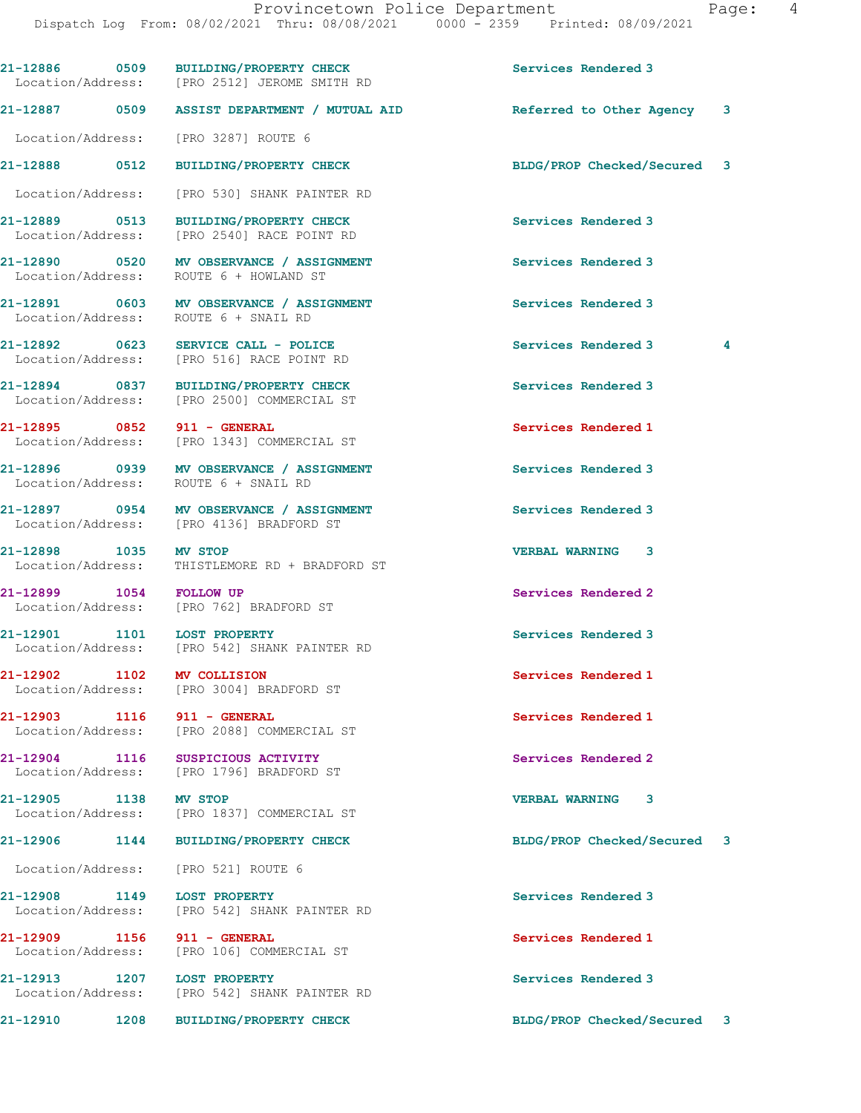21-12886 0509 BUILDING/PROPERTY CHECK Services Rendered 3 Location/Address: [PRO 2512] JEROME SMITH RD 21-12887 0509 ASSIST DEPARTMENT / MUTUAL AID Referred to Other Agency 3 Location/Address: [PRO 3287] ROUTE 6 21-12888 0512 BUILDING/PROPERTY CHECK BLDG/PROP Checked/Secured 3 Location/Address: [PRO 530] SHANK PAINTER RD 21-12889 0513 BUILDING/PROPERTY CHECK Services Rendered 3 Location/Address: [PRO 2540] RACE POINT RD 21-12890 0520 MV OBSERVANCE / ASSIGNMENT Services Rendered 3 Location/Address: ROUTE 6 + HOWLAND ST 21-12891 0603 MV OBSERVANCE / ASSIGNMENT Services Rendered 3 Location/Address: 21-12892 0623 SERVICE CALL - POLICE Services Rendered 3 4 Location/Address: [PRO 516] RACE POINT RD 21-12894 0837 BUILDING/PROPERTY CHECK Services Rendered 3<br>
Location/Address: [PRO 2500] COMMERCIAL ST [PRO 2500] COMMERCIAL ST 21-12895 0852 911 - GENERAL Services Rendered 1 Location/Address: [PRO 1343] COMMERCIAL ST 21-12896 0939 MV OBSERVANCE / ASSIGNMENT Services Rendered 3 Location/Address: ROUTE 6 + SNAIL RD 21-12897 0954 MV OBSERVANCE / ASSIGNMENT Services Rendered 3 [PRO 4136] BRADFORD ST 21-12898 1035 MV STOP VERBAL WARNING 3 Location/Address: THISTLEMORE RD + BRADFORD ST 21-12899 1054 FOLLOW UP Services Rendered 2 Location/Address: [PRO 762] BRADFORD ST 21-12901 1101 LOST PROPERTY Services Rendered 3 Location/Address: [PRO 542] SHANK PAINTER RD 21-12902 1102 MV COLLISION Services Rendered 1 Location/Address: [PRO 3004] BRADFORD ST 21-12903 1116 911 - GENERAL Services Rendered 1 Location/Address: [PRO 2088] COMMERCIAL ST 21-12904 1116 SUSPICIOUS ACTIVITY<br>
Location/Address: [PRO 1796] BRADFORD ST [PRO 1796] BRADFORD ST 21-12905 1138 MV STOP VERBAL WARNING 3 Location/Address: [PRO 1837] COMMERCIAL ST 21-12906 1144 BUILDING/PROPERTY CHECK BLDG/PROP Checked/Secured 3 Location/Address: [PRO 521] ROUTE 6 21-12908 1149 LOST PROPERTY Services Rendered 3 Location/Address: [PRO 542] SHANK PAINTER RD 21-12909 1156 911 - GENERAL Services Rendered 1 Location/Address: [PRO 106] COMMERCIAL ST 21-12913 1207 LOST PROPERTY **1207 Services Rendered 3**  Location/Address: [PRO 542] SHANK PAINTER RD 21-12910 1208 BUILDING/PROPERTY CHECK BLDG/PROP Checked/Secured 3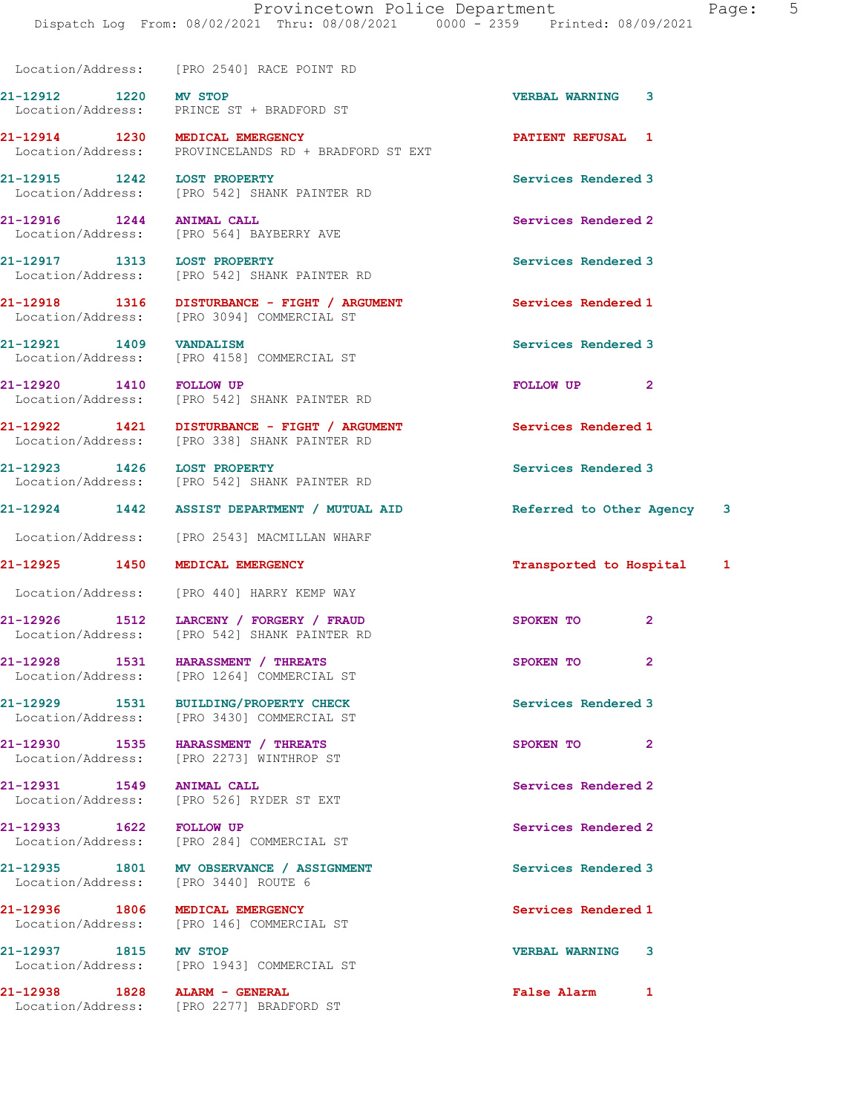Location/Address: [PRO 2540] RACE POINT RD

21-12912 1220 MV STOP 120 1220 21-12912 1220 123

 Location/Address: PRINCE ST + BRADFORD ST 21-12914 1230 MEDICAL EMERGENCY PATIENT REFUSAL 1

Location/Address: PROVINCELANDS RD + BRADFORD ST EXT

21-12915 1242 LOST PROPERTY Services Rendered 3 Location/Address: [PRO 542] SHANK PAINTER RD

21-12916 1244 ANIMAL CALL Services Rendered 2 Location/Address: [PRO 564] BAYBERRY AVE

21-12917 1313 LOST PROPERTY Services Rendered 3 Location/Address: [PRO 542] SHANK PAINTER RD

21-12918 1316 DISTURBANCE - FIGHT / ARGUMENT Services Rendered 1 Location/Address: [PRO 3094] COMMERCIAL ST

21-12921 1409 VANDALISM Services Rendered 3 Location/Address: [PRO 4158] COMMERCIAL ST

21-12920 1410 FOLLOW UP FOLLOW UP 2 Location/Address: [PRO 542] SHANK PAINTER RD

21-12922 1421 DISTURBANCE - FIGHT / ARGUMENT Services Rendered 1 Location/Address: [PRO 338] SHANK PAINTER RD

21-12923 1426 LOST PROPERTY Services Rendered 3 Location/Address: [PRO 542] SHANK PAINTER RD

21-12924 1442 ASSIST DEPARTMENT / MUTUAL AID Referred to Other Agency 3

Location/Address: [PRO 2543] MACMILLAN WHARF

Location/Address: [PRO 440] HARRY KEMP WAY

21-12926 1512 LARCENY / FORGERY / FRAUD SPOKEN TO 2 Location/Address: [PRO 542] SHANK PAINTER RD

21-12928 1531 HARASSMENT / THREATS SPOKEN TO 2 Location/Address: [PRO 1264] COMMERCIAL ST

21-12929 1531 BUILDING/PROPERTY CHECK Services Rendered 3 Location/Address: [PRO 3430] COMMERCIAL ST

21-12930 1535 HARASSMENT / THREATS SPOKEN TO 2 Location/Address: [PRO 2273] WINTHROP ST

21-12931 1549 ANIMAL CALL Services Rendered 2 Location/Address: [PRO 526] RYDER ST EXT

21-12933 1622 FOLLOW UP Services Rendered 2 Location/Address: [PRO 284] COMMERCIAL ST

21-12935 1801 MV OBSERVANCE / ASSIGNMENT Services Rendered 3 Location/Address: [PRO 3440] ROUTE 6

21-12936 1806 MEDICAL EMERGENCY 19936 Services Rendered 1<br>
Location/Address: [PRO 146] COMMERCIAL ST [PRO 146] COMMERCIAL ST

21-12937 1815 MV STOP VERBAL WARNING 3 Location/Address: [PRO 1943] COMMERCIAL ST

21-12938 1828 ALARM - GENERAL False Alarm 1 Location/Address: [PRO 2277] BRADFORD ST

21-12925 1450 MEDICAL EMERGENCY Transported to Hospital 1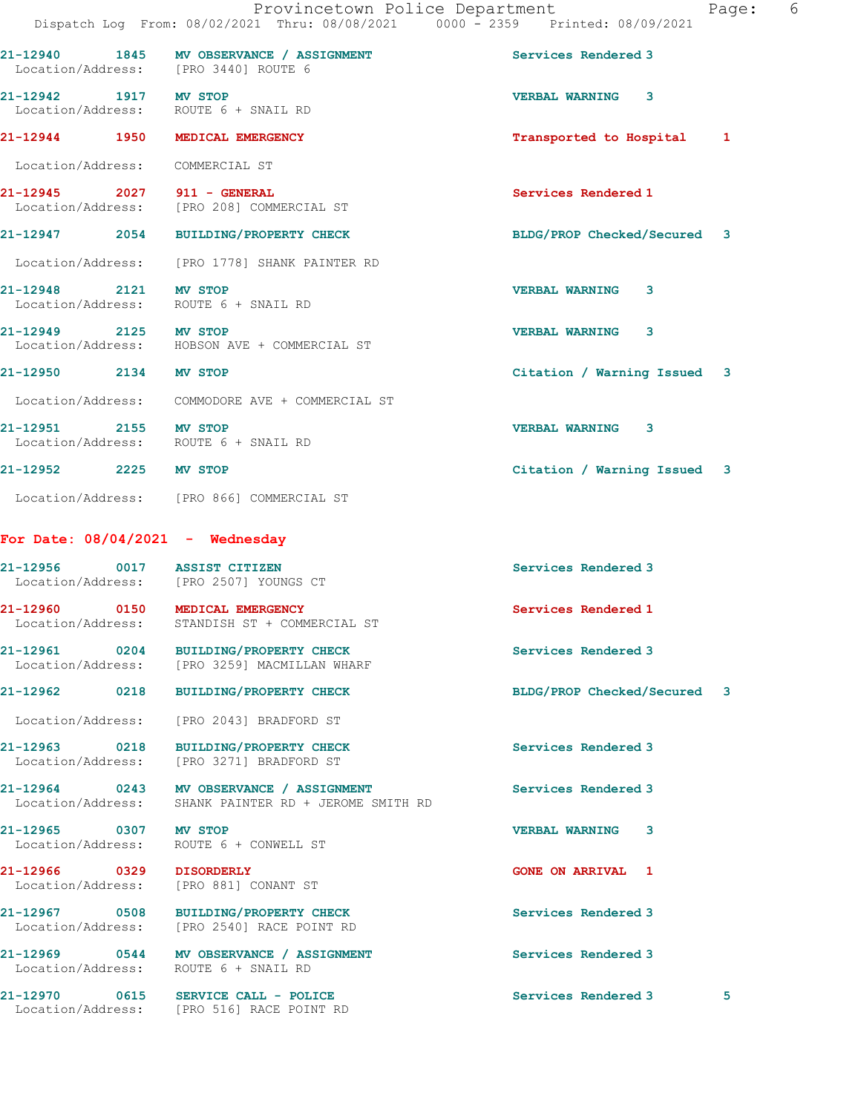|                                       |                                                                     | Dispatch Log From: 08/02/2021 Thru: 08/08/2021 0000 - 2359 Printed: 08/09/2021 |
|---------------------------------------|---------------------------------------------------------------------|--------------------------------------------------------------------------------|
| Location/Address: [PRO 3440] ROUTE 6  | 21-12940 1845 MV OBSERVANCE / ASSIGNMENT                            | Services Rendered 3                                                            |
| 21-12942 1917 MV STOP                 | Location/Address: ROUTE 6 + SNAIL RD                                | VERBAL WARNING 3                                                               |
| 21-12944 1950 MEDICAL EMERGENCY       |                                                                     | Transported to Hospital 1                                                      |
| Location/Address: COMMERCIAL ST       |                                                                     |                                                                                |
| 21-12945 2027 911 - GENERAL           | Location/Address: [PRO 208] COMMERCIAL ST                           | Services Rendered 1                                                            |
|                                       | 21-12947 2054 BUILDING/PROPERTY CHECK                               | BLDG/PROP Checked/Secured 3                                                    |
|                                       | Location/Address: [PRO 1778] SHANK PAINTER RD                       |                                                                                |
| 21-12948 2121 MV STOP                 | Location/Address: ROUTE 6 + SNAIL RD                                | VERBAL WARNING 3                                                               |
| 21-12949 2125 MV STOP                 | Location/Address: HOBSON AVE + COMMERCIAL ST                        | VERBAL WARNING 3                                                               |
| 21-12950 2134 MV STOP                 |                                                                     | Citation / Warning Issued 3                                                    |
|                                       | Location/Address: COMMODORE AVE + COMMERCIAL ST                     |                                                                                |
| 21-12951 2155 MV STOP                 | Location/Address: ROUTE 6 + SNAIL RD                                | VERBAL WARNING 3                                                               |
| 21-12952 2225 MV STOP                 |                                                                     | Citation / Warning Issued 3                                                    |
|                                       | Location/Address: [PRO 866] COMMERCIAL ST                           |                                                                                |
| For Date: $08/04/2021$ - Wednesday    |                                                                     |                                                                                |
| 21-12956 0017 ASSIST CITIZEN          | Location/Address: [PRO 2507] YOUNGS CT                              | Services Rendered 3                                                            |
| 21-12960 0150 MEDICAL EMERGENCY       | Location/Address: STANDISH ST + COMMERCIAL ST                       | Services Rendered 1                                                            |
| Location/Address:                     | 21-12961 0204 BUILDING/PROPERTY CHECK<br>[PRO 3259] MACMILLAN WHARF | Services Rendered 3                                                            |
| 21-12962<br>0218                      | BUILDING/PROPERTY CHECK                                             | BLDG/PROP Checked/Secured<br>3                                                 |
| Location/Address:                     | [PRO 2043] BRADFORD ST                                              |                                                                                |
| 21-12963<br>0218<br>Location/Address: | <b>BUILDING/PROPERTY CHECK</b><br>[PRO 3271] BRADFORD ST            | Services Rendered 3                                                            |

21-12964 0243 MV OBSERVANCE / ASSIGNMENT Services Rendered 3

21-12965 0307 MV STOP VERBAL WARNING 3

21-12966 0329 DISORDERLY **CONE ON ARRIVAL** 1

21-12970 0615 SERVICE CALL - POLICE 3 Services Rendered 3 5

Location/Address: SHANK PAINTER RD + JEROME SMITH RD

Location/Address: ROUTE 6 + CONWELL ST

Location/Address: [PRO 881] CONANT ST

21-12967 0508 BUILDING/PROPERTY CHECK Services Rendered 3 Location/Address: [PRO 2540] RACE POINT RD

21-12969 0544 MV OBSERVANCE / ASSIGNMENT Services Rendered 3 Location/Address: ROUTE 6 + SNAIL RD

Location/Address: [PRO 516] RACE POINT RD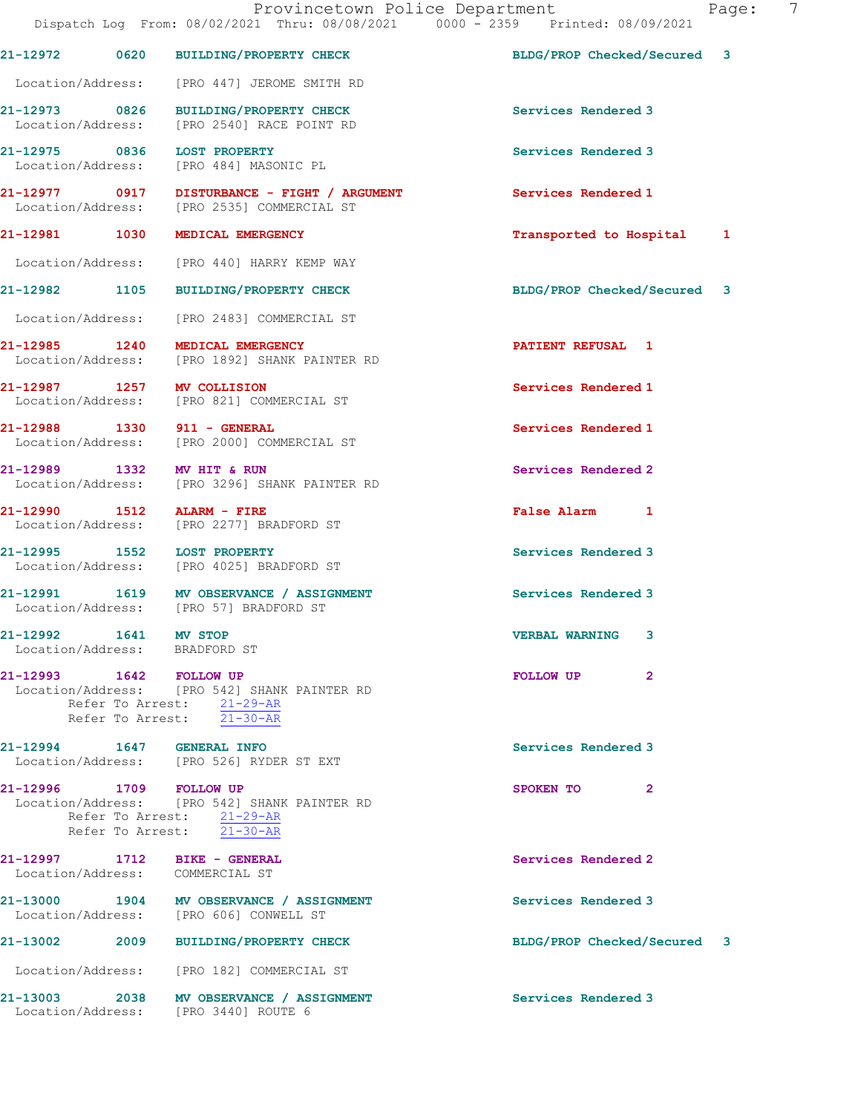|                                                        | 21-12972 0620 BUILDING/PROPERTY CHECK                                                                  | BLDG/PROP Checked/Secured 3 |  |
|--------------------------------------------------------|--------------------------------------------------------------------------------------------------------|-----------------------------|--|
|                                                        | Location/Address: [PRO 447] JEROME SMITH RD                                                            |                             |  |
|                                                        | 21-12973 0826 BUILDING/PROPERTY CHECK<br>Location/Address: [PRO 2540] RACE POINT RD                    | Services Rendered 3         |  |
| 21-12975 0836                                          | <b>LOST PROPERTY</b><br>Location/Address: [PRO 484] MASONIC PL                                         | Services Rendered 3         |  |
|                                                        | 21-12977 0917 DISTURBANCE - FIGHT / ARGUMENT<br>Location/Address: [PRO 2535] COMMERCIAL ST             | Services Rendered 1         |  |
|                                                        | 21-12981 1030 MEDICAL EMERGENCY                                                                        | Transported to Hospital 1   |  |
|                                                        | Location/Address: [PRO 440] HARRY KEMP WAY                                                             |                             |  |
|                                                        | 21-12982 1105 BUILDING/PROPERTY CHECK                                                                  | BLDG/PROP Checked/Secured 3 |  |
|                                                        | Location/Address: [PRO 2483] COMMERCIAL ST                                                             |                             |  |
| 21-12985 1240                                          | MEDICAL EMERGENCY<br>Location/Address: [PRO 1892] SHANK PAINTER RD                                     | <b>PATIENT REFUSAL 1</b>    |  |
| 21-12987 1257 MV COLLISION                             | Location/Address: [PRO 821] COMMERCIAL ST                                                              | Services Rendered 1         |  |
|                                                        | 21-12988 1330 911 - GENERAL<br>Location/Address: [PRO 2000] COMMERCIAL ST                              | Services Rendered 1         |  |
| 21-12989 1332 MV HIT & RUN                             | Location/Address: [PRO 3296] SHANK PAINTER RD                                                          | Services Rendered 2         |  |
| 21-12990 1512                                          | ALARM - FIRE<br>Location/Address: [PRO 2277] BRADFORD ST                                               | False Alarm 1               |  |
|                                                        | 21-12995 1552 LOST PROPERTY<br>Location/Address: [PRO 4025] BRADFORD ST                                | Services Rendered 3         |  |
|                                                        | 21-12991 1619 MV OBSERVANCE / ASSIGNMENT<br>Location/Address: [PRO 57] BRADFORD ST                     | Services Rendered 3         |  |
| 21-12992 1641 MV STOP<br>Location/Address: BRADFORD ST |                                                                                                        | <b>VERBAL WARNING</b><br>3  |  |
| 21-12993 1642 FOLLOW UP                                | Location/Address: [PRO 542] SHANK PAINTER RD<br>Refer To Arrest: 21-29-AR<br>Refer To Arrest: 21-30-AR | FOLLOW UP<br>$\mathbf{2}$   |  |
| 21-12994 1647 GENERAL INFO                             | Location/Address: [PRO 526] RYDER ST EXT                                                               | Services Rendered 3         |  |
| 21-12996 1709 FOLLOW UP                                | Location/Address: [PRO 542] SHANK PAINTER RD<br>Refer To Arrest: 21-29-AR<br>Refer To Arrest: 21-30-AR | SPOKEN TO<br>$\mathbf{2}$   |  |
|                                                        | 21-12997 1712 BIKE - GENERAL<br>Location/Address: COMMERCIAL ST                                        | Services Rendered 2         |  |
|                                                        | 21-13000 1904 MV OBSERVANCE / ASSIGNMENT<br>Location/Address: [PRO 606] CONWELL ST                     | Services Rendered 3         |  |
| 21-13002                                               | 2009 BUILDING/PROPERTY CHECK                                                                           | BLDG/PROP Checked/Secured 3 |  |
|                                                        | Location/Address: [PRO 182] COMMERCIAL ST                                                              |                             |  |
|                                                        | 21-13003 2038 MV OBSERVANCE / ASSIGNMENT<br>Location/Address: [PRO 3440] ROUTE 6                       | Services Rendered 3         |  |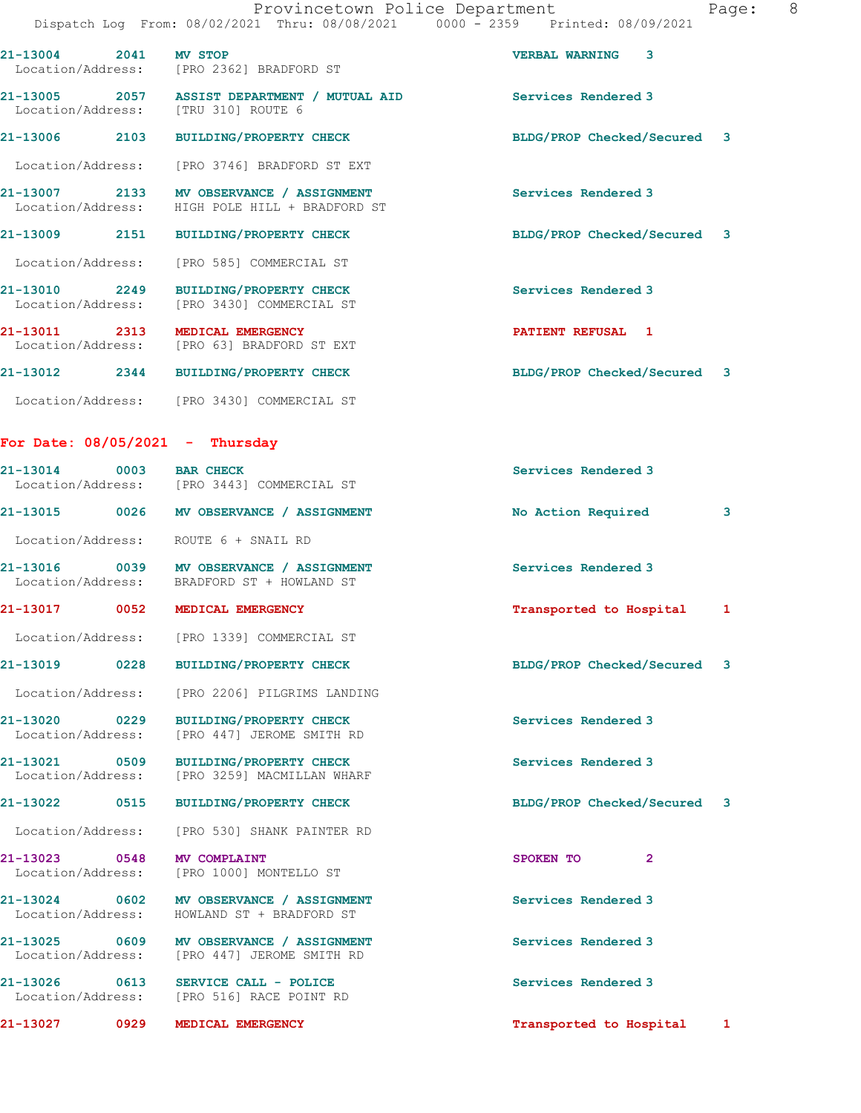|                       | Provincetown Police Department<br>Dispatch Log From: 08/02/2021 Thru: 08/08/2021 0000 - 2359 Printed: 08/09/2021 | Page:                                 | 8 |
|-----------------------|------------------------------------------------------------------------------------------------------------------|---------------------------------------|---|
| 21-13004 2041 MV STOP | Location/Address: [PRO 2362] BRADFORD ST                                                                         | <b>VERBAL WARNING</b><br>$\mathbf{3}$ |   |
|                       | 21-13005 2057 ASSIST DEPARTMENT / MUTUAL AID<br>Location/Address: [TRU 310] ROUTE 6                              | Services Rendered 3                   |   |
|                       | 21-13006 2103 BUILDING/PROPERTY CHECK                                                                            | BLDG/PROP Checked/Secured 3           |   |
|                       | Location/Address: [PRO 3746] BRADFORD ST EXT                                                                     |                                       |   |
|                       | 21-13007 2133 MV OBSERVANCE / ASSIGNMENT<br>Location/Address: HIGH POLE HILL + BRADFORD ST                       | Services Rendered 3                   |   |
|                       | 21-13009 2151 BUILDING/PROPERTY CHECK                                                                            | BLDG/PROP Checked/Secured 3           |   |
|                       | Location/Address: [PRO 585] COMMERCIAL ST                                                                        |                                       |   |
|                       | 21-13010 2249 BUILDING/PROPERTY CHECK<br>Location/Address: [PRO 3430] COMMERCIAL ST                              | Services Rendered 3                   |   |
|                       | 21-13011 2313 MEDICAL EMERGENCY<br>Location/Address: [PRO 63] BRADFORD ST EXT                                    | PATIENT REFUSAL 1                     |   |
|                       | 21-13012 2344 BUILDING/PROPERTY CHECK                                                                            | BLDG/PROP Checked/Secured 3           |   |
|                       | Location/Address: [PRO 3430] COMMERCIAL ST                                                                       |                                       |   |
|                       | For Date: $08/05/2021$ - Thursday                                                                                |                                       |   |

| 21-13027 0929                      | MEDICAL EMERGENCY                                                                       | Transported to Hospital     | 1 |
|------------------------------------|-----------------------------------------------------------------------------------------|-----------------------------|---|
|                                    | $21-13026$ 0613 SERVICE CALL - POLICE<br>Location/Address: [PRO 516] RACE POINT RD      | Services Rendered 3         |   |
|                                    | 21-13025 0609 MV OBSERVANCE / ASSIGNMENT<br>Location/Address: [PRO 447] JEROME SMITH RD | Services Rendered 3         |   |
|                                    | 21-13024 0602 MV OBSERVANCE / ASSIGNMENT<br>Location/Address: HOWLAND ST + BRADFORD ST  | Services Rendered 3         |   |
| 21-13023 0548                      | MV COMPLAINT<br>Location/Address: [PRO 1000] MONTELLO ST                                | SPOKEN TO<br>$\overline{2}$ |   |
|                                    | Location/Address: [PRO 530] SHANK PAINTER RD                                            |                             |   |
|                                    | 21-13022 0515 BUILDING/PROPERTY CHECK                                                   | BLDG/PROP Checked/Secured 3 |   |
|                                    | 21-13021 0509 BUILDING/PROPERTY CHECK<br>Location/Address: [PRO 3259] MACMILLAN WHARF   | Services Rendered 3         |   |
| 21-13020 0229<br>Location/Address: | BUILDING/PROPERTY CHECK<br>[PRO 447] JEROME SMITH RD                                    | Services Rendered 3         |   |
| Location/Address:                  | [PRO 2206] PILGRIMS LANDING                                                             |                             |   |
| 21-13019 0228                      | <b>BUILDING/PROPERTY CHECK</b>                                                          | BLDG/PROP Checked/Secured 3 |   |
|                                    | Location/Address: [PRO 1339] COMMERCIAL ST                                              |                             |   |
| 21-13017 0052 MEDICAL EMERGENCY    |                                                                                         | Transported to Hospital 1   |   |
|                                    | 21-13016 0039 MV OBSERVANCE / ASSIGNMENT<br>Location/Address: BRADFORD ST + HOWLAND ST  | Services Rendered 3         |   |
| Location/Address:                  | ROUTE 6 + SNAIL RD                                                                      |                             |   |
|                                    | 21-13015 0026 MV OBSERVANCE / ASSIGNMENT                                                | No Action Required          | 3 |
| $21 - 13014$ 0003                  | <b>BAR CHECK</b><br>Location/Address: [PRO 3443] COMMERCIAL ST                          | Services Rendered 3         |   |
|                                    |                                                                                         |                             |   |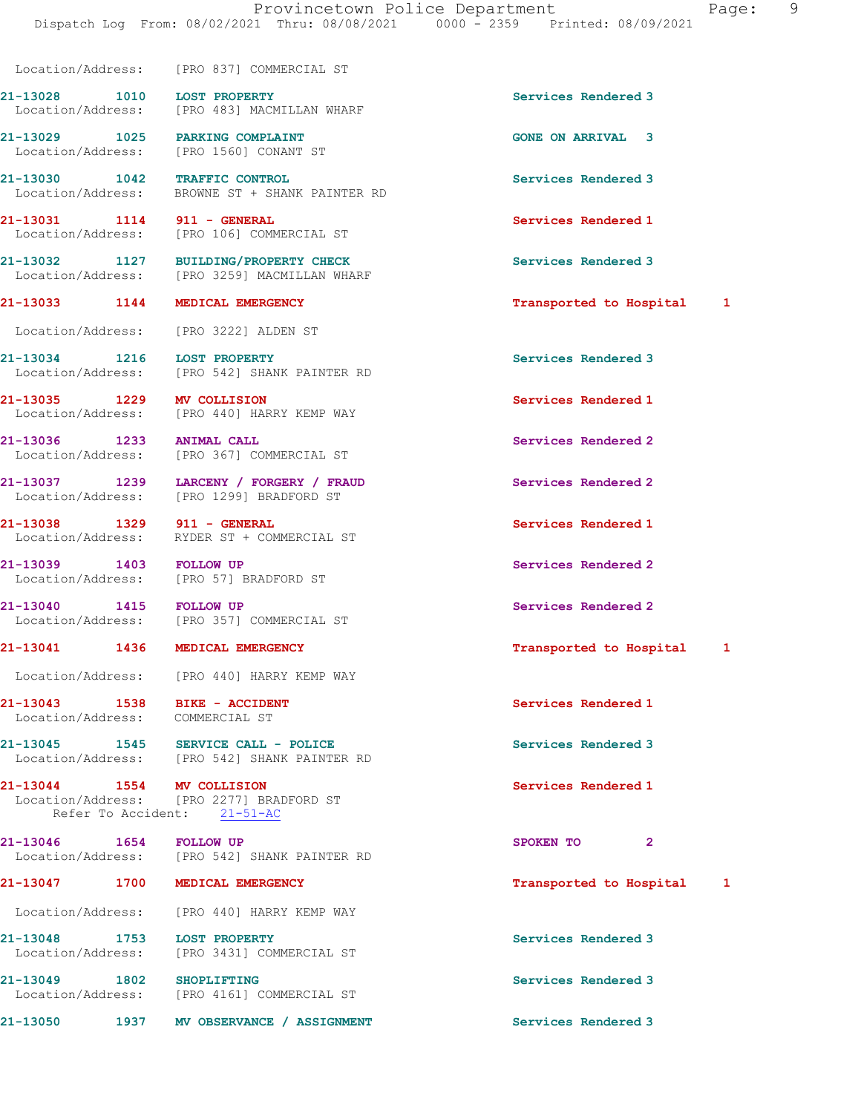Dispatch Log From: 08/02/2021 Thru: 08/08/2021 0000 - 2359 Printed: 08/09/2021

Location/Address: [PRO 837] COMMERCIAL ST

21-13028 1010 LOST PROPERTY Services Rendered 3 Location/Address: [PRO 483] MACMILLAN WHARF

21-13030 1042 TRAFFIC CONTROL Services Rendered 3

21-13038 1329 911 - GENERAL Services Rendered 1

Location/Address: COMMERCIAL ST

21-13044 1554 MV COLLISION Services Rendered 1<br>
Location/Address: [PRO 2277] BRADFORD ST Refer To Accident: 21-51-AC

21-13046 1654 FOLLOW UP 20 SPOKEN TO 2 Location/Address: [PRO 542] SHANK PAINTER RD

Location/Address: [PRO 440] HARRY KEMP WAY

21-13029 1025 PARKING COMPLAINT GONE ON ARRIVAL 3 Location/Address: [PRO 1560] CONANT ST

Location/Address: BROWNE ST + SHANK PAINTER RD

21-13031 1114 911 - GENERAL 1114 Services Rendered 1 Location/Address: [PRO 106] COMMERCIAL ST

21-13032 1127 BUILDING/PROPERTY CHECK Services Rendered 3 Location/Address: [PRO 3259] MACMILLAN WHARF

Location/Address: [PRO 3222] ALDEN ST

21-13034 1216 LOST PROPERTY **1200 Services Rendered** 3 Location/Address: [PRO 542] SHANK PAINTER RD

21-13035 1229 MV COLLISION Services Rendered 1<br>
Location/Address: [PRO 440] HARRY KEMP WAY [PRO 440] HARRY KEMP WAY

21-13036 1233 ANIMAL CALL Services Rendered 2 Location/Address: [PRO 367] COMMERCIAL ST

21-13037 1239 LARCENY / FORGERY / FRAUD Services Rendered 2 Location/Address: [PRO 1299] BRADFORD ST

Location/Address: RYDER ST + COMMERCIAL ST

21-13039 1403 FOLLOW UP **Services Rendered 2**<br>
Location/Address: [PRO 57] BRADFORD ST [PRO 57] BRADFORD ST

21-13040 1415 FOLLOW UP Services Rendered 2 Location/Address: [PRO 357] COMMERCIAL ST

Location/Address: [PRO 440] HARRY KEMP WAY

21-13045 1545 SERVICE CALL - POLICE Services Rendered 3 Location/Address: [PRO 542] SHANK PAINTER RD

[PRO 2277] BRADFORD ST

21-13048 1753 LOST PROPERTY Services Rendered 3 Location/Address: [PRO 3431] COMMERCIAL ST

21-13049 1802 SHOPLIFTING<br>
Location/Address: [PRO 4161] COMMERCIAL ST [PRO 4161] COMMERCIAL ST

21-13050 1937 MV OBSERVANCE / ASSIGNMENT Services Rendered 3

21-13033 1144 MEDICAL EMERGENCY Transported to Hospital 1

21-13041 1436 MEDICAL EMERGENCY **1436 120 MEDICAL EMERGENCY** 14 20 12 14 21 14 22 21 21 22 22 23 23 24 25 26 26 26

21-13043 1538 BIKE - ACCIDENT Services Rendered 1

21-13047 1700 MEDICAL EMERGENCY 1 21-13047 1 1200 1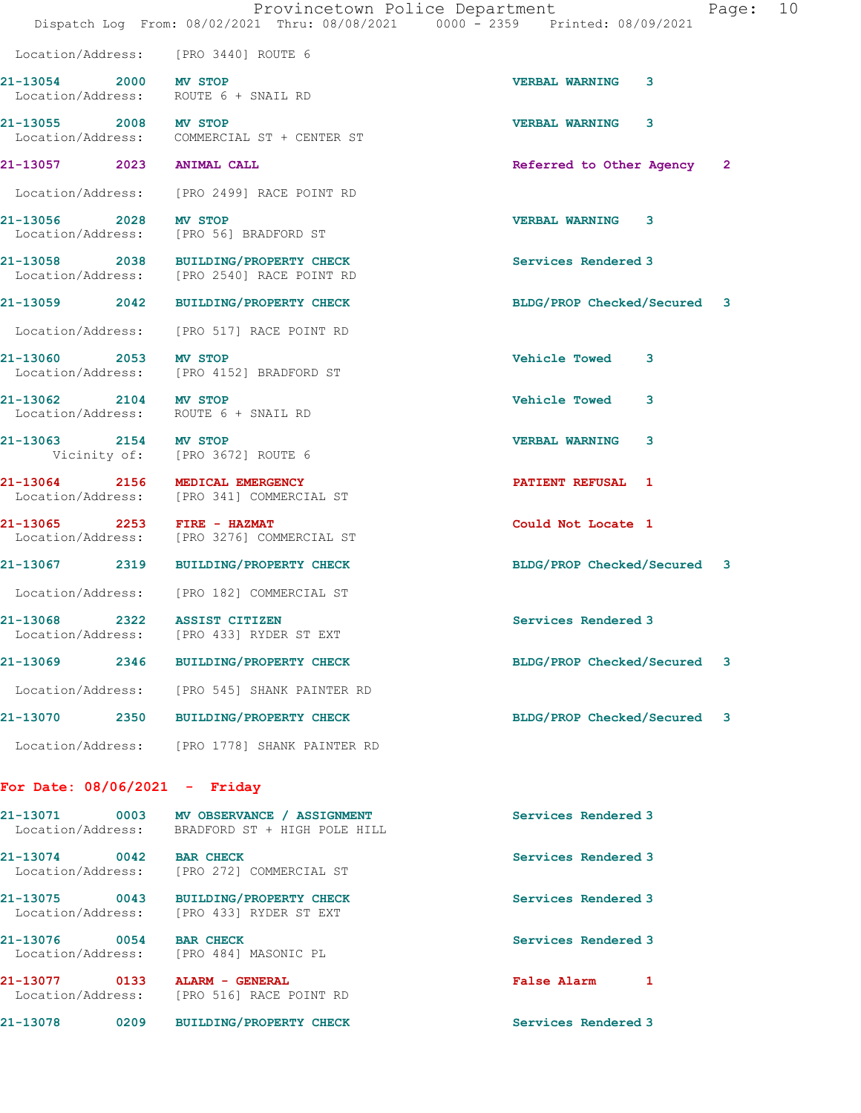|                                 | Provincetown Police Department<br>Dispatch Log From: 08/02/2021 Thru: 08/08/2021 0000 - 2359 Printed: 08/09/2021 |                             |   | Page: 10 |  |
|---------------------------------|------------------------------------------------------------------------------------------------------------------|-----------------------------|---|----------|--|
|                                 | Location/Address: [PRO 3440] ROUTE 6                                                                             |                             |   |          |  |
| 21-13054 2000 MV STOP           | Location/Address: ROUTE 6 + SNAIL RD                                                                             | <b>VERBAL WARNING</b>       | 3 |          |  |
| 21-13055 2008 MV STOP           | Location/Address: COMMERCIAL ST + CENTER ST                                                                      | <b>VERBAL WARNING 3</b>     |   |          |  |
| 21-13057 2023 ANIMAL CALL       |                                                                                                                  | Referred to Other Agency 2  |   |          |  |
|                                 | Location/Address: [PRO 2499] RACE POINT RD                                                                       |                             |   |          |  |
| 21-13056 2028 MV STOP           | Location/Address: [PRO 56] BRADFORD ST                                                                           | <b>VERBAL WARNING 3</b>     |   |          |  |
|                                 | 21-13058 2038 BUILDING/PROPERTY CHECK<br>Location/Address: [PRO 2540] RACE POINT RD                              | Services Rendered 3         |   |          |  |
|                                 | 21-13059 2042 BUILDING/PROPERTY CHECK                                                                            | BLDG/PROP Checked/Secured 3 |   |          |  |
|                                 | Location/Address: [PRO 517] RACE POINT RD                                                                        |                             |   |          |  |
| 21-13060 2053 MV STOP           | Location/Address: [PRO 4152] BRADFORD ST                                                                         | Vehicle Towed 3             |   |          |  |
|                                 | 21-13062 2104 MV STOP<br>Location/Address: ROUTE 6 + SNAIL RD                                                    | <b>Vehicle Towed</b>        | 3 |          |  |
| 21-13063 2154 MV STOP           | Vicinity of: [PRO 3672] ROUTE 6                                                                                  | <b>VERBAL WARNING 3</b>     |   |          |  |
|                                 | 21-13064 2156 MEDICAL EMERGENCY<br>Location/Address: [PRO 341] COMMERCIAL ST                                     | <b>PATIENT REFUSAL 1</b>    |   |          |  |
| 21-13065 2253 FIRE - HAZMAT     | Location/Address: [PRO 3276] COMMERCIAL ST                                                                       | Could Not Locate 1          |   |          |  |
|                                 | 21-13067 2319 BUILDING/PROPERTY CHECK                                                                            | BLDG/PROP Checked/Secured 3 |   |          |  |
|                                 | Location/Address: [PRO 182] COMMERCIAL ST                                                                        |                             |   |          |  |
| 21-13068 2322 ASSIST CITIZEN    | Location/Address: [PRO 433] RYDER ST EXT                                                                         | Services Rendered 3         |   |          |  |
| 21-13069                        | 2346 BUILDING/PROPERTY CHECK                                                                                     | BLDG/PROP Checked/Secured   |   | 3        |  |
|                                 | Location/Address: [PRO 545] SHANK PAINTER RD                                                                     |                             |   |          |  |
|                                 | 21-13070 2350 BUILDING/PROPERTY CHECK                                                                            | BLDG/PROP Checked/Secured   |   | 3        |  |
|                                 | Location/Address: [PRO 1778] SHANK PAINTER RD                                                                    |                             |   |          |  |
| For Date: $08/06/2021 -$ Friday |                                                                                                                  |                             |   |          |  |
| Location/Address:               | 21-13071 0003 MV OBSERVANCE / ASSIGNMENT<br>BRADFORD ST + HIGH POLE HILL                                         | Services Rendered 3         |   |          |  |
| 21-13074 0042 BAR CHECK         | Location/Address: [PRO 272] COMMERCIAL ST                                                                        | Services Rendered 3         |   |          |  |
| 21-13075                        | 0043 BUILDING/PROPERTY CHECK                                                                                     | Services Rendered 3         |   |          |  |

Location/Address: [PRO 433] RYDER ST EXT

21-13076 0054 BAR CHECK Services Rendered 3 Location/Address: [PRO 484] MASONIC PL

21-13077 0133 ALARM - GENERAL **False Alarm** 1 Location/Address: [PRO 516] RACE POINT RD

21-13078 0209 BUILDING/PROPERTY CHECK Services Rendered 3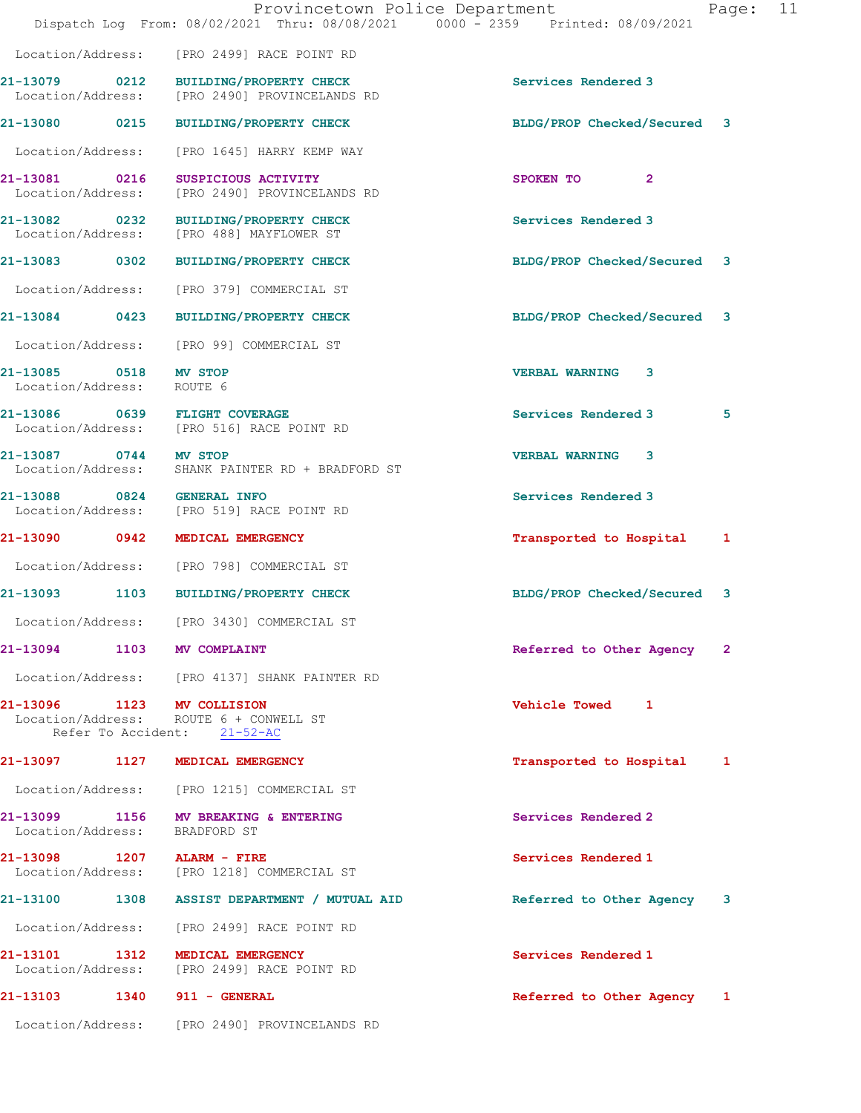|                                                    | Provincetown Police Department<br>Dispatch Log From: 08/02/2021 Thru: 08/08/2021 0000 - 2359 Printed: 08/09/2021 |                              | Page: 11 |
|----------------------------------------------------|------------------------------------------------------------------------------------------------------------------|------------------------------|----------|
|                                                    | Location/Address: [PRO 2499] RACE POINT RD                                                                       |                              |          |
|                                                    | 21-13079 0212 BUILDING/PROPERTY CHECK<br>Location/Address: [PRO 2490] PROVINCELANDS RD                           | Services Rendered 3          |          |
|                                                    | 21-13080 0215 BUILDING/PROPERTY CHECK                                                                            | BLDG/PROP Checked/Secured 3  |          |
|                                                    | Location/Address: [PRO 1645] HARRY KEMP WAY                                                                      |                              |          |
| Location/Address:                                  | 21-13081 0216 SUSPICIOUS ACTIVITY<br>[PRO 2490] PROVINCELANDS RD                                                 | SPOKEN TO<br>$\mathbf{2}$    |          |
|                                                    | 21-13082 0232 BUILDING/PROPERTY CHECK<br>Location/Address: [PRO 488] MAYFLOWER ST                                | Services Rendered 3          |          |
|                                                    | 21-13083 0302 BUILDING/PROPERTY CHECK                                                                            | BLDG/PROP Checked/Secured 3  |          |
|                                                    | Location/Address: [PRO 379] COMMERCIAL ST                                                                        |                              |          |
|                                                    | 21-13084 0423 BUILDING/PROPERTY CHECK                                                                            | BLDG/PROP Checked/Secured 3  |          |
|                                                    | Location/Address: [PRO 99] COMMERCIAL ST                                                                         |                              |          |
| 21-13085 0518 MV STOP<br>Location/Address: ROUTE 6 |                                                                                                                  | <b>VERBAL WARNING 3</b>      |          |
|                                                    | 21-13086 0639 FLIGHT COVERAGE<br>Location/Address: [PRO 516] RACE POINT RD                                       | Services Rendered 3<br>5     |          |
| 21-13087 0744 MV STOP                              | Location/Address: SHANK PAINTER RD + BRADFORD ST                                                                 | <b>VERBAL WARNING 3</b>      |          |
|                                                    | 21-13088 0824 GENERAL INFO<br>Location/Address: [PRO 519] RACE POINT RD                                          | Services Rendered 3          |          |
|                                                    | 21-13090 0942 MEDICAL EMERGENCY                                                                                  | Transported to Hospital<br>1 |          |
|                                                    | Location/Address: [PRO 798] COMMERCIAL ST                                                                        |                              |          |
|                                                    | 21-13093 1103 BUILDING/PROPERTY CHECK                                                                            | BLDG/PROP Checked/Secured 3  |          |
|                                                    | Location/Address: [PRO 3430] COMMERCIAL ST                                                                       |                              |          |
|                                                    | 21-13094 1103 MV COMPLAINT                                                                                       | Referred to Other Agency 2   |          |
|                                                    | Location/Address: [PRO 4137] SHANK PAINTER RD                                                                    |                              |          |
|                                                    | 21-13096 1123 MV COLLISION<br>Location/Address: ROUTE 6 + CONWELL ST<br>Refer To Accident: 21-52-AC              | Vehicle Towed 1              |          |
|                                                    | 21-13097 1127 MEDICAL EMERGENCY                                                                                  | Transported to Hospital 1    |          |
|                                                    | Location/Address: [PRO 1215] COMMERCIAL ST                                                                       |                              |          |
|                                                    | 21-13099 1156 MV BREAKING & ENTERING<br>Location/Address: BRADFORD ST                                            | Services Rendered 2          |          |
|                                                    | 21-13098 1207 ALARM - FIRE<br>Location/Address: [PRO 1218] COMMERCIAL ST                                         | Services Rendered 1          |          |
|                                                    | 21-13100 1308 ASSIST DEPARTMENT / MUTUAL AID                                                                     | Referred to Other Agency 3   |          |
|                                                    | Location/Address: [PRO 2499] RACE POINT RD                                                                       |                              |          |
|                                                    | 21-13101 1312 MEDICAL EMERGENCY<br>Location/Address: [PRO 2499] RACE POINT RD                                    | Services Rendered 1          |          |
|                                                    | 21-13103 1340 911 - GENERAL                                                                                      | Referred to Other Agency 1   |          |
|                                                    | Location/Address: [PRO 2490] PROVINCELANDS RD                                                                    |                              |          |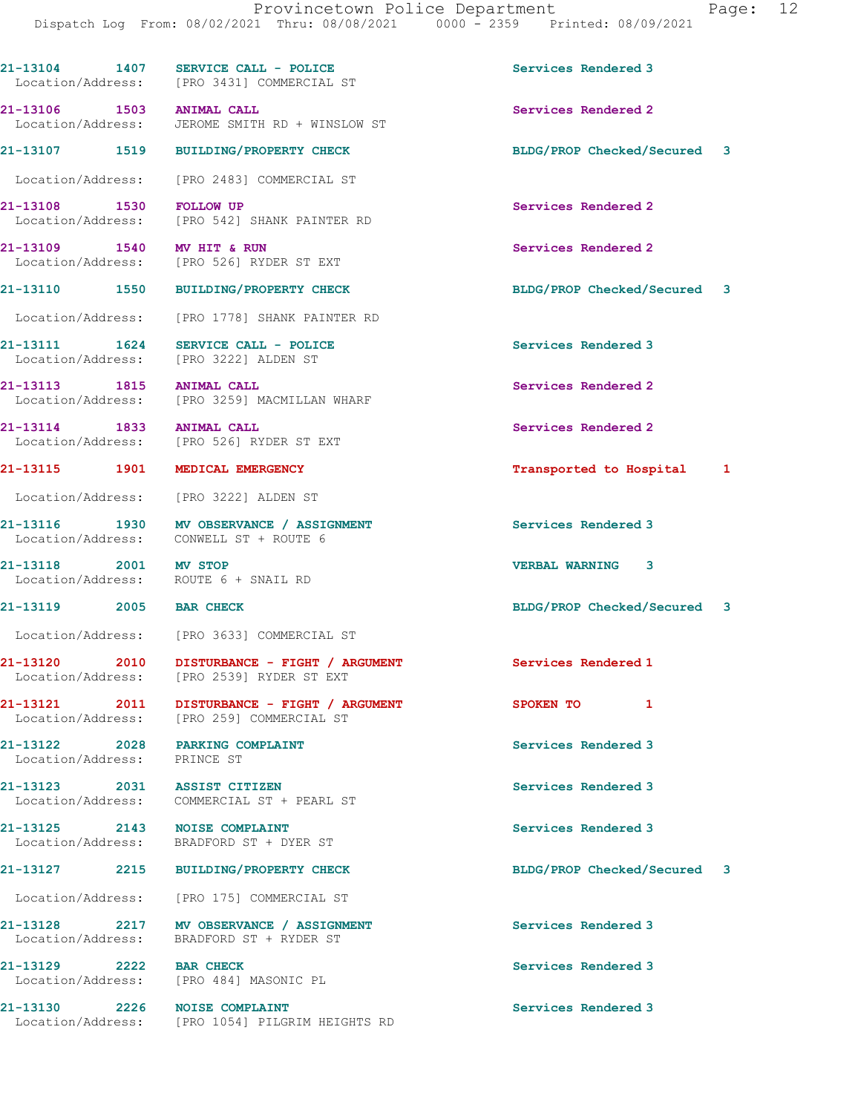21-13104 1407 SERVICE CALL - POLICE 1999 Services Rendered 3

| aae |  |
|-----|--|
|-----|--|

21-13106 1503 ANIMAL CALL 21-13106 1503 21-13106 1503 ANIMAL CALL Services Rendered 2 JEROME SMITH RD + WINSLOW ST 21-13107 1519 BUILDING/PROPERTY CHECK BLDG/PROP Checked/Secured 3 Location/Address: [PRO 2483] COMMERCIAL ST 21-13108 1530 FOLLOW UP **Services Rendered 2**<br>
Location/Address: [PRO 542] SHANK PAINTER RD [PRO 542] SHANK PAINTER RD 21-13109 1540 MV HIT & RUN Services Rendered 2 Location/Address: [PRO 526] RYDER ST EXT 21-13110 1550 BUILDING/PROPERTY CHECK BLDG/PROP Checked/Secured 3 Location/Address: [PRO 1778] SHANK PAINTER RD 21-13111 1624 SERVICE CALL - POLICE 3 Services Rendered 3 Location/Address: [PRO 3222] ALDEN ST 21-13113 1815 ANIMAL CALL 21-13113 Services Rendered 2<br>
Location/Address: [PRO 3259] MACMILLAN WHARF [PRO 3259] MACMILLAN WHARF 21-13114 1833 ANIMAL CALL Services Rendered 2 Location/Address: [PRO 526] RYDER ST EXT 21-13115 1901 MEDICAL EMERGENCY 1999 1999 Transported to Hospital 1 Location/Address: [PRO 3222] ALDEN ST 21-13116 1930 MV OBSERVANCE / ASSIGNMENT Services Rendered 3 21-13118 2001 MV STOP VERBAL WARNING 3 Location/Address: ROUTE 6 + SNAIL RD 21-13119 2005 BAR CHECK BLDG/PROP Checked/Secured 3 Location/Address: [PRO 3633] COMMERCIAL ST 21-13120 2010 DISTURBANCE - FIGHT / ARGUMENT Services Rendered 1 Location/Address: [PRO 2539] RYDER ST EXT 21-13121 2011 DISTURBANCE - FIGHT / ARGUMENT SPOKEN TO 1 Location/Address: [PRO 259] COMMERCIAL ST 21-13122 2028 PARKING COMPLAINT Services Rendered 3 Location/Address: PRINCE ST 21-13123 2031 ASSIST CITIZEN Services Rendered 3 Location/Address: COMMERCIAL ST + PEARL ST 21-13125 2143 NOISE COMPLAINT Services Rendered 3 Location/Address: BRADFORD ST + DYER ST 21-13127 2215 BUILDING/PROPERTY CHECK BLDG/PROP Checked/Secured 3 Location/Address: [PRO 175] COMMERCIAL ST 21-13128 2217 MV OBSERVANCE / ASSIGNMENT Services Rendered 3 21-13129 2222 BAR CHECK Services Rendered 3 Location/Address: [PRO 484] MASONIC PL 21-13130 2226 NOISE COMPLAINT Services Rendered 3

Location/Address: [PRO 3431] COMMERCIAL ST

Location/Address: CONWELL ST + ROUTE 6

Location/Address: BRADFORD ST + RYDER ST

Location/Address: [PRO 1054] PILGRIM HEIGHTS RD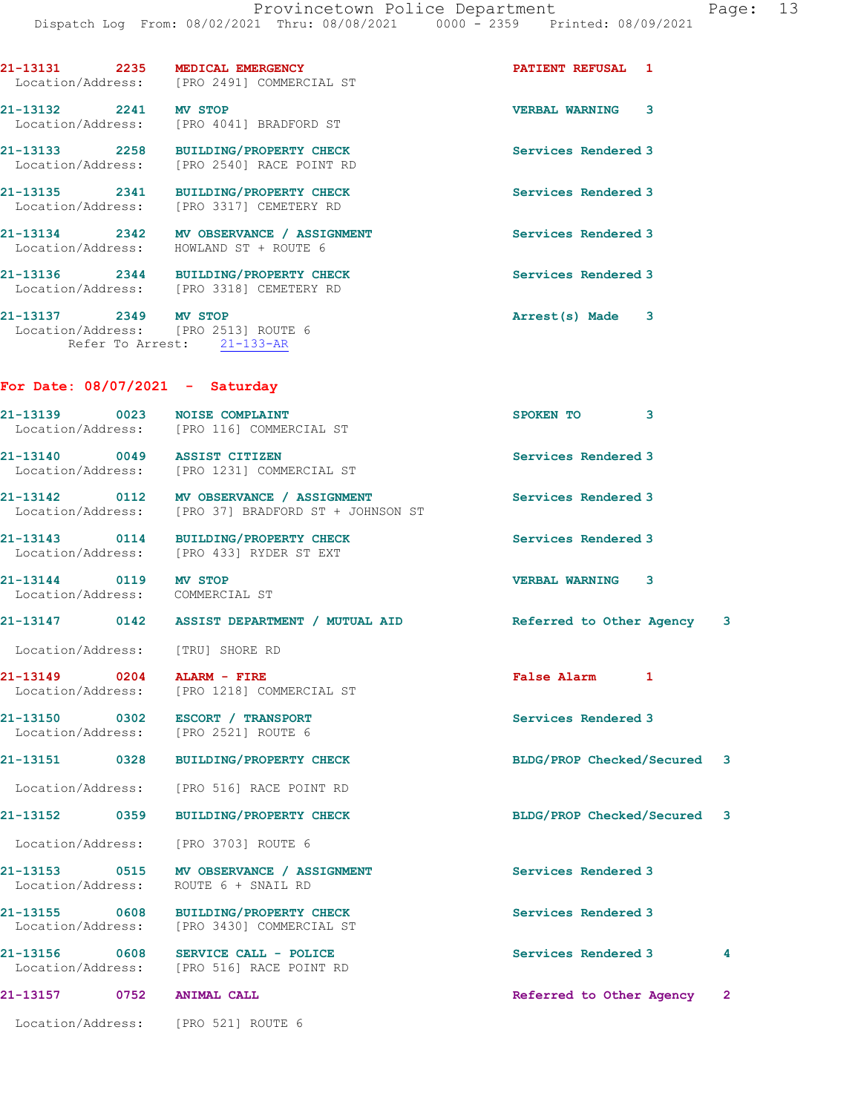|                                       | 21-13131 2235 MEDICAL EMERGENCY<br>Location/Address: [PRO 2491] COMMERCIAL ST                   | PATIENT REFUSAL 1                                                       |                |
|---------------------------------------|-------------------------------------------------------------------------------------------------|-------------------------------------------------------------------------|----------------|
| 21-13132 2241 MV STOP                 | Location/Address: [PRO 4041] BRADFORD ST                                                        | <b>VERBAL WARNING 3</b>                                                 |                |
|                                       | 21-13133 2258 BUILDING/PROPERTY CHECK<br>Location/Address: [PRO 2540] RACE POINT RD             | Services Rendered 3                                                     |                |
|                                       | 21-13135 2341 BUILDING/PROPERTY CHECK<br>Location/Address: [PRO 3317] CEMETERY RD               | Services Rendered 3                                                     |                |
|                                       | 21-13134 2342 MV OBSERVANCE / ASSIGNMENT<br>Location/Address: HOWLAND ST + ROUTE 6              | Services Rendered 3                                                     |                |
|                                       | 21-13136 2344 BUILDING/PROPERTY CHECK<br>Location/Address: [PRO 3318] CEMETERY RD               | Services Rendered 3                                                     |                |
| 21-13137 2349 MV STOP                 | Location/Address: [PRO 2513] ROUTE 6<br>Refer To Arrest: 21-133-AR                              | Arrest(s) Made 3                                                        |                |
|                                       | For Date: $08/07/2021$ - Saturday                                                               |                                                                         |                |
|                                       | 21-13139 0023 NOISE COMPLAINT<br>Location/Address: [PRO 116] COMMERCIAL ST                      | SPOKEN TO 3                                                             |                |
|                                       | 21-13140 0049 ASSIST CITIZEN<br>Location/Address: [PRO 1231] COMMERCIAL ST                      | Services Rendered 3                                                     |                |
|                                       | 21-13142 0112 MV OBSERVANCE / ASSIGNMENT<br>Location/Address: [PRO 37] BRADFORD ST + JOHNSON ST | Services Rendered 3                                                     |                |
|                                       | 21-13143 0114 BUILDING/PROPERTY CHECK<br>Location/Address: [PRO 433] RYDER ST EXT               | Services Rendered 3                                                     |                |
| 21-13144 0119                         | <b>MV STOP</b><br>Location/Address: COMMERCIAL ST                                               | <b>VERBAL WARNING 3</b>                                                 |                |
|                                       |                                                                                                 | 21-13147 0142 ASSIST DEPARTMENT / MUTUAL AID Referred to Other Agency 3 |                |
|                                       | Location/Address: [TRU] SHORE RD                                                                |                                                                         |                |
| 0204<br>21-13149<br>Location/Address: | ALARM - FIRE<br>[PRO 1218] COMMERCIAL ST                                                        | <b>False Alarm</b><br>$\mathbf{I}$                                      |                |
|                                       | 21-13150 0302 ESCORT / TRANSPORT<br>Location/Address: [PRO 2521] ROUTE 6                        | Services Rendered 3                                                     |                |
| 21-13151 0328                         | BUILDING/PROPERTY CHECK                                                                         | BLDG/PROP Checked/Secured 3                                             |                |
| Location/Address:                     | [PRO 516] RACE POINT RD                                                                         |                                                                         |                |
| 21-13152<br>0359                      | <b>BUILDING/PROPERTY CHECK</b>                                                                  | BLDG/PROP Checked/Secured 3                                             |                |
| Location/Address:                     | [PRO 3703] ROUTE 6                                                                              |                                                                         |                |
| 21-13153 0515<br>Location/Address:    | MV OBSERVANCE / ASSIGNMENT<br>ROUTE 6 + SNAIL RD                                                | Services Rendered 3                                                     |                |
| 21-13155 0608<br>Location/Address:    | BUILDING/PROPERTY CHECK<br>[PRO 3430] COMMERCIAL ST                                             | Services Rendered 3                                                     |                |
| 21-13156 0608<br>Location/Address:    | SERVICE CALL - POLICE<br>[PRO 516] RACE POINT RD                                                | Services Rendered 3                                                     | 4              |
| 21-13157 0752                         | <b>ANIMAL CALL</b>                                                                              | Referred to Other Agency                                                | $\overline{2}$ |
| Location/Address:                     | [PRO 521] ROUTE 6                                                                               |                                                                         |                |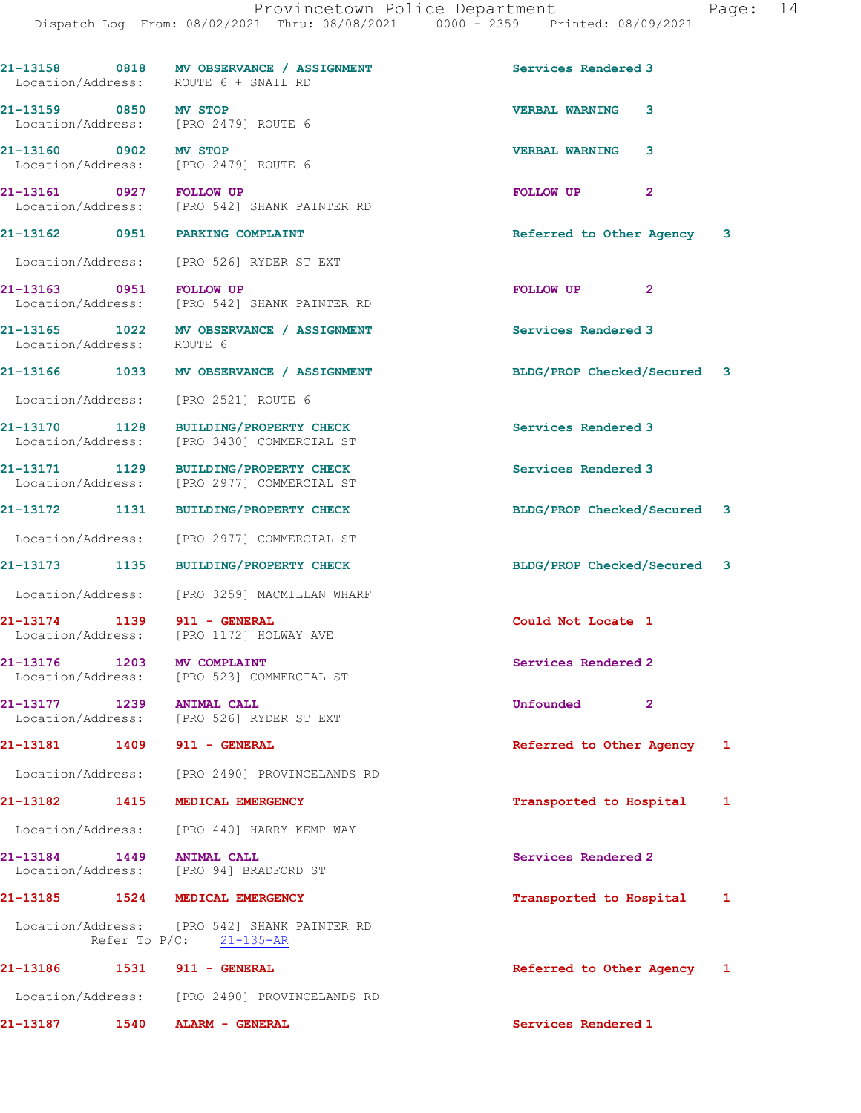| Location/Address: ROUTE 6 + SNAIL RD                          | 21-13158 0818 MV OBSERVANCE / ASSIGNMENT                                            | Services Rendered 3         |
|---------------------------------------------------------------|-------------------------------------------------------------------------------------|-----------------------------|
| 21-13159 0850 MV STOP<br>Location/Address: [PRO 2479] ROUTE 6 |                                                                                     | <b>VERBAL WARNING</b><br>3  |
| 21-13160 0902 MV STOP<br>Location/Address: [PRO 2479] ROUTE 6 |                                                                                     | 3<br><b>VERBAL WARNING</b>  |
|                                                               | 21-13161 0927 FOLLOW UP<br>Location/Address: [PRO 542] SHANK PAINTER RD             | FOLLOW UP<br>$\mathbf{2}$   |
| 21-13162 0951 PARKING COMPLAINT                               |                                                                                     | Referred to Other Agency 3  |
|                                                               | Location/Address: [PRO 526] RYDER ST EXT                                            |                             |
| 21-13163 0951 FOLLOW UP                                       | Location/Address: [PRO 542] SHANK PAINTER RD                                        | FOLLOW UP <sub>2</sub>      |
| Location/Address: ROUTE 6                                     | 21-13165 1022 MV OBSERVANCE / ASSIGNMENT                                            | Services Rendered 3         |
|                                                               | 21-13166 1033 MV OBSERVANCE / ASSIGNMENT                                            | BLDG/PROP Checked/Secured 3 |
| Location/Address: [PRO 2521] ROUTE 6                          |                                                                                     |                             |
|                                                               | 21-13170 1128 BUILDING/PROPERTY CHECK<br>Location/Address: [PRO 3430] COMMERCIAL ST | Services Rendered 3         |
|                                                               | 21-13171 1129 BUILDING/PROPERTY CHECK<br>Location/Address: [PRO 2977] COMMERCIAL ST | Services Rendered 3         |
|                                                               | 21-13172 1131 BUILDING/PROPERTY CHECK                                               | BLDG/PROP Checked/Secured 3 |
|                                                               | Location/Address: [PRO 2977] COMMERCIAL ST                                          |                             |
|                                                               | 21-13173 1135 BUILDING/PROPERTY CHECK                                               | BLDG/PROP Checked/Secured 3 |
|                                                               | Location/Address: [PRO 3259] MACMILLAN WHARF                                        |                             |
| 21-13174 1139 911 - GENERAL                                   | Location/Address: [PRO 1172] HOLWAY AVE                                             | Could Not Locate 1          |
| 21-13176 1203 MV COMPLAINT                                    | Location/Address: [PRO 523] COMMERCIAL ST                                           | Services Rendered 2         |
| 21-13177                                                      | 1239 ANIMAL CALL<br>Location/Address: [PRO 526] RYDER ST EXT                        | Unfounded<br>$\overline{2}$ |
| 21-13181 1409 911 - GENERAL                                   |                                                                                     | Referred to Other Agency 1  |
|                                                               | Location/Address: [PRO 2490] PROVINCELANDS RD                                       |                             |
| 21-13182 1415 MEDICAL EMERGENCY                               |                                                                                     | Transported to Hospital 1   |
|                                                               | Location/Address: [PRO 440] HARRY KEMP WAY                                          |                             |
| 21-13184 1449                                                 | <b>ANIMAL CALL</b><br>Location/Address: [PRO 94] BRADFORD ST                        | Services Rendered 2         |
| 21-13185 1524 MEDICAL EMERGENCY                               |                                                                                     | Transported to Hospital 1   |
|                                                               | Location/Address: [PRO 542] SHANK PAINTER RD<br>Refer To P/C: 21-135-AR             |                             |
| 21-13186   1531   911 - GENERAL                               |                                                                                     | Referred to Other Agency 1  |
|                                                               | Location/Address: [PRO 2490] PROVINCELANDS RD                                       |                             |
| 21-13187                                                      | 1540 ALARM - GENERAL                                                                | Services Rendered 1         |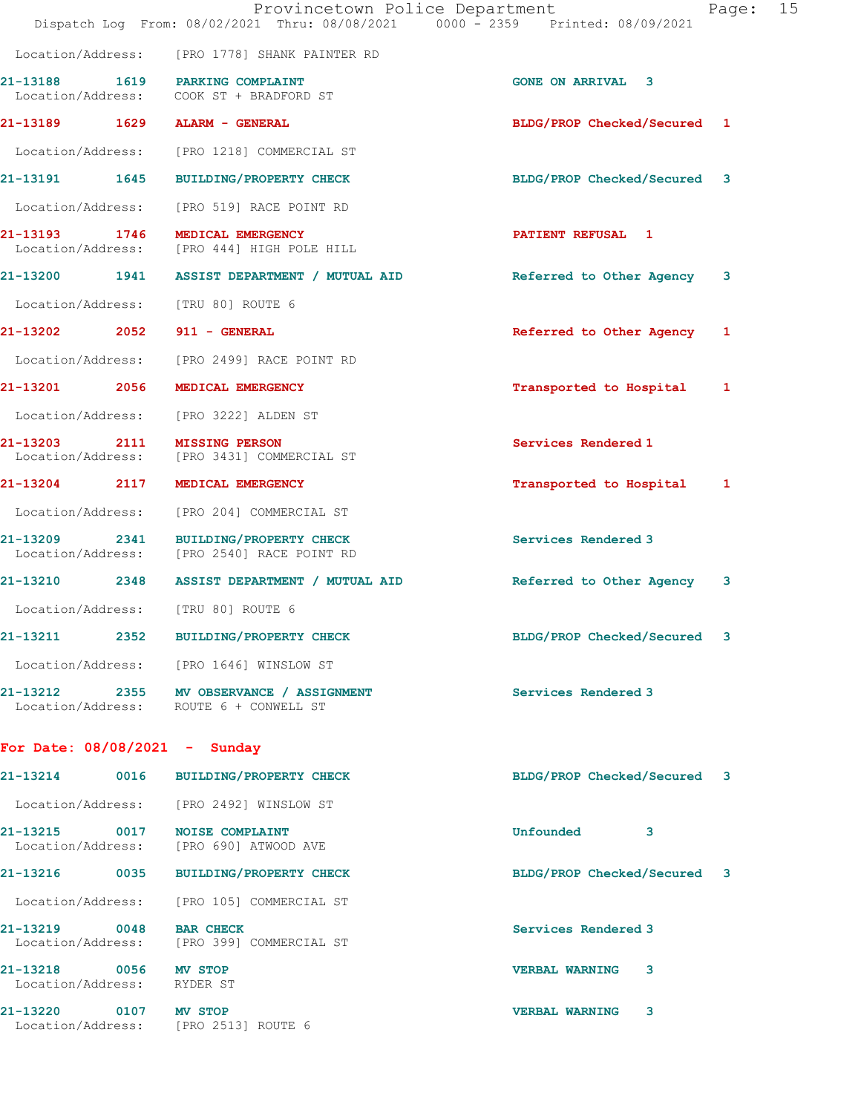|                                                     | Provincetown Police Department<br>Dispatch Log From: 08/02/2021 Thru: 08/08/2021 0000 - 2359 Printed: 08/09/2021 |                             | 15<br>Page: |
|-----------------------------------------------------|------------------------------------------------------------------------------------------------------------------|-----------------------------|-------------|
|                                                     | Location/Address: [PRO 1778] SHANK PAINTER RD                                                                    |                             |             |
|                                                     | 21-13188 1619 PARKING COMPLAINT<br>Location/Address: COOK ST + BRADFORD ST                                       | <b>GONE ON ARRIVAL 3</b>    |             |
| 21-13189 1629                                       | ALARM - GENERAL                                                                                                  | BLDG/PROP Checked/Secured 1 |             |
| Location/Address:                                   | [PRO 1218] COMMERCIAL ST                                                                                         |                             |             |
| 21-13191 1645                                       | <b>BUILDING/PROPERTY CHECK</b>                                                                                   | BLDG/PROP Checked/Secured 3 |             |
| Location/Address:                                   | [PRO 519] RACE POINT RD                                                                                          |                             |             |
| 21-13193 1746                                       | MEDICAL EMERGENCY<br>Location/Address: [PRO 444] HIGH POLE HILL                                                  | <b>PATIENT REFUSAL 1</b>    |             |
|                                                     | 21-13200 1941 ASSIST DEPARTMENT / MUTUAL AID                                                                     | Referred to Other Agency    | 3           |
| Location/Address:                                   | [TRU 80] ROUTE 6                                                                                                 |                             |             |
| 21-13202 2052                                       | 911 - GENERAL                                                                                                    | Referred to Other Agency 1  |             |
| Location/Address:                                   | [PRO 2499] RACE POINT RD                                                                                         |                             |             |
| 21-13201 2056                                       | MEDICAL EMERGENCY                                                                                                | Transported to Hospital     | 1           |
| Location/Address:                                   | [PRO 3222] ALDEN ST                                                                                              |                             |             |
| 21-13203 2111<br>Location/Address:                  | <b>MISSING PERSON</b><br>[PRO 3431] COMMERCIAL ST                                                                | Services Rendered 1         |             |
| 21-13204 2117                                       | MEDICAL EMERGENCY                                                                                                | Transported to Hospital 1   |             |
| Location/Address:                                   | [PRO 204] COMMERCIAL ST                                                                                          |                             |             |
| Location/Address:                                   | 21-13209 2341 BUILDING/PROPERTY CHECK<br>[PRO 2540] RACE POINT RD                                                | Services Rendered 3         |             |
|                                                     | 21-13210 2348 ASSIST DEPARTMENT / MUTUAL AID                                                                     | Referred to Other Agency    | 3           |
| Location/Address:                                   | [TRU 80] ROUTE 6                                                                                                 |                             |             |
| 21-13211                                            | 2352 BUILDING/PROPERTY CHECK                                                                                     | BLDG/PROP Checked/Secured   |             |
|                                                     | Location/Address: [PRO 1646] WINSLOW ST                                                                          |                             |             |
|                                                     | 21-13212 2355 MV OBSERVANCE / ASSIGNMENT<br>Location/Address: ROUTE 6 + CONWELL ST                               | Services Rendered 3         |             |
| For Date: $08/08/2021 -$ Sunday                     |                                                                                                                  |                             |             |
|                                                     | 21-13214 0016 BUILDING/PROPERTY CHECK                                                                            | BLDG/PROP Checked/Secured 3 |             |
|                                                     | Location/Address: [PRO 2492] WINSLOW ST                                                                          |                             |             |
|                                                     | 21-13215 0017 NOISE COMPLAINT<br>Location/Address: [PRO 690] ATWOOD AVE                                          | Unfounded 3                 |             |
|                                                     | 21-13216 0035 BUILDING/PROPERTY CHECK                                                                            | BLDG/PROP Checked/Secured 3 |             |
|                                                     | Location/Address: [PRO 105] COMMERCIAL ST                                                                        |                             |             |
| 21-13219 0048 BAR CHECK                             | Location/Address: [PRO 399] COMMERCIAL ST                                                                        | Services Rendered 3         |             |
| 21-13218 0056 MV STOP<br>Location/Address: RYDER ST |                                                                                                                  | <b>VERBAL WARNING 3</b>     |             |
| 21-13220 0107 MV STOP                               | Location/Address: [PRO 2513] ROUTE 6                                                                             | VERBAL WARNING 3            |             |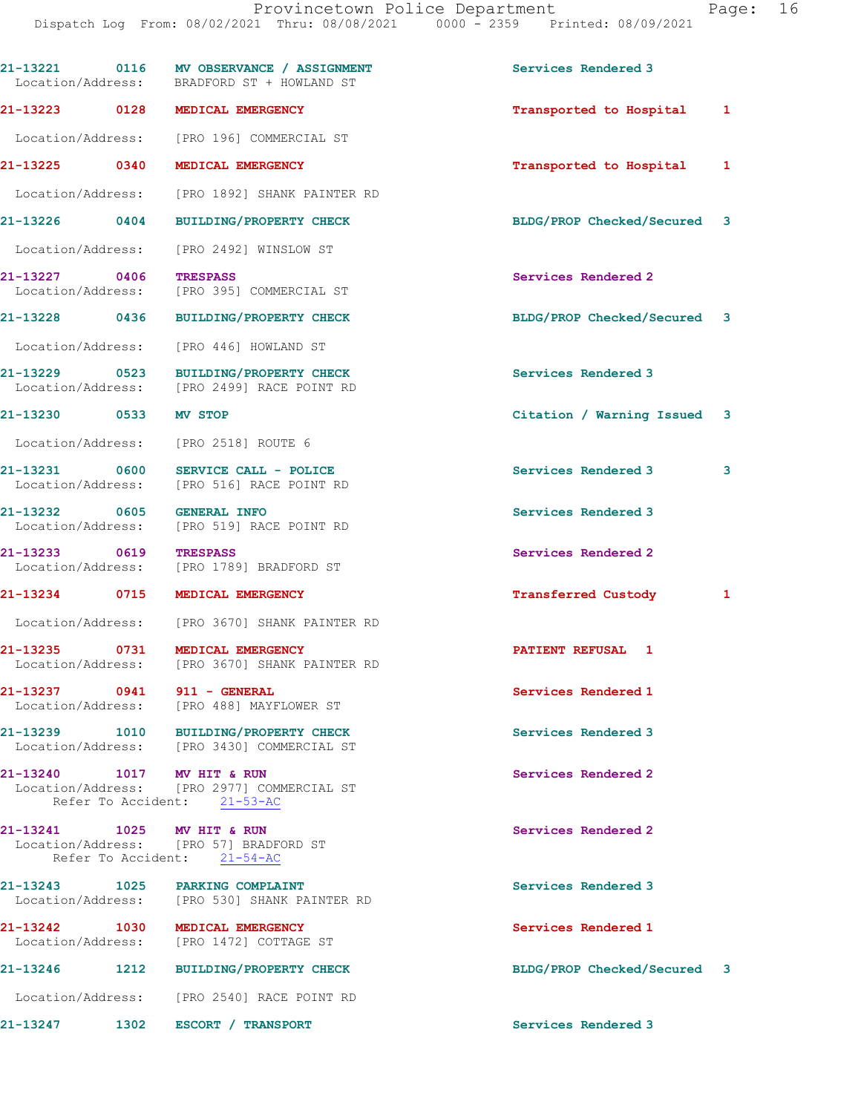|                                    |             | 21-13221 0116 MV OBSERVANCE / ASSIGNMENT<br>Location/Address: BRADFORD ST + HOWLAND ST | Services Rendered 3         |   |
|------------------------------------|-------------|----------------------------------------------------------------------------------------|-----------------------------|---|
| 21-13223 0128                      |             | MEDICAL EMERGENCY                                                                      | Transported to Hospital     | 1 |
| Location/Address:                  |             | [PRO 196] COMMERCIAL ST                                                                |                             |   |
| 21-13225 0340                      |             | MEDICAL EMERGENCY                                                                      | Transported to Hospital     | 1 |
| Location/Address:                  |             | [PRO 1892] SHANK PAINTER RD                                                            |                             |   |
| $21 - 13226$                       | $\sim$ 0404 | <b>BUILDING/PROPERTY CHECK</b>                                                         | BLDG/PROP Checked/Secured 3 |   |
| Location/Address:                  |             | [PRO 2492] WINSLOW ST                                                                  |                             |   |
| 21-13227 0406<br>Location/Address: |             | <b>TRESPASS</b><br>[PRO 395] COMMERCIAL ST                                             | Services Rendered 2         |   |
| 21-13228 0436                      |             | <b>BUILDING/PROPERTY CHECK</b>                                                         | BLDG/PROP Checked/Secured 3 |   |
| Location/Address:                  |             | [PRO 446] HOWLAND ST                                                                   |                             |   |
| 21-13229 0523<br>Location/Address: |             | <b>BUILDING/PROPERTY CHECK</b><br>[PRO 2499] RACE POINT RD                             | Services Rendered 3         |   |
| 21-13230 0533                      |             | <b>MV STOP</b>                                                                         | Citation / Warning Issued   | 3 |
| Location/Address:                  |             | [PRO 2518] ROUTE 6                                                                     |                             |   |
| 21-13231 0600<br>Location/Address: |             | SERVICE CALL - POLICE<br>[PRO 516] RACE POINT RD                                       | Services Rendered 3         | 3 |
| 21-13232 0605<br>Location/Address: |             | <b>GENERAL INFO</b><br>[PRO 519] RACE POINT RD                                         | Services Rendered 3         |   |
| 21-13233 0619<br>Location/Address: |             | <b>TRESPASS</b><br>[PRO 1789] BRADFORD ST                                              | Services Rendered 2         |   |
| 21-13234 0715                      |             | MEDICAL EMERGENCY                                                                      | <b>Transferred Custody</b>  | 1 |
|                                    |             | Location/Address: [PRO 3670] SHANK PAINTER RD                                          |                             |   |
| 21-13235 0731                      |             | <b>MEDICAL EMERGENCY</b><br>Location/Address: [PRO 3670] SHANK PAINTER RD              | PATIENT REFUSAL 1           |   |
| 21-13237 0941                      |             | 911 - GENERAL<br>Location/Address: [PRO 488] MAYFLOWER ST                              | Services Rendered 1         |   |
|                                    |             | 21-13239 1010 BUILDING/PROPERTY CHECK<br>Location/Address: [PRO 3430] COMMERCIAL ST    | Services Rendered 3         |   |
| 21-13240 1017 MV HIT & RUN         |             | Location/Address: [PRO 2977] COMMERCIAL ST<br>Refer To Accident: 21-53-AC              | Services Rendered 2         |   |
| 21-13241 1025 MV HIT & RUN         |             | Location/Address: [PRO 57] BRADFORD ST<br>Refer To Accident: 21-54-AC                  | Services Rendered 2         |   |
|                                    |             | 21-13243 1025 PARKING COMPLAINT<br>Location/Address: [PRO 530] SHANK PAINTER RD        | Services Rendered 3         |   |
| 21-13242 1030<br>Location/Address: |             | MEDICAL EMERGENCY<br>[PRO 1472] COTTAGE ST                                             | Services Rendered 1         |   |
| 21-13246                           |             | 1212 BUILDING/PROPERTY CHECK                                                           | BLDG/PROP Checked/Secured 3 |   |
|                                    |             | Location/Address: [PRO 2540] RACE POINT RD                                             |                             |   |
| 21-13247                           |             | 1302 ESCORT / TRANSPORT                                                                | Services Rendered 3         |   |
|                                    |             |                                                                                        |                             |   |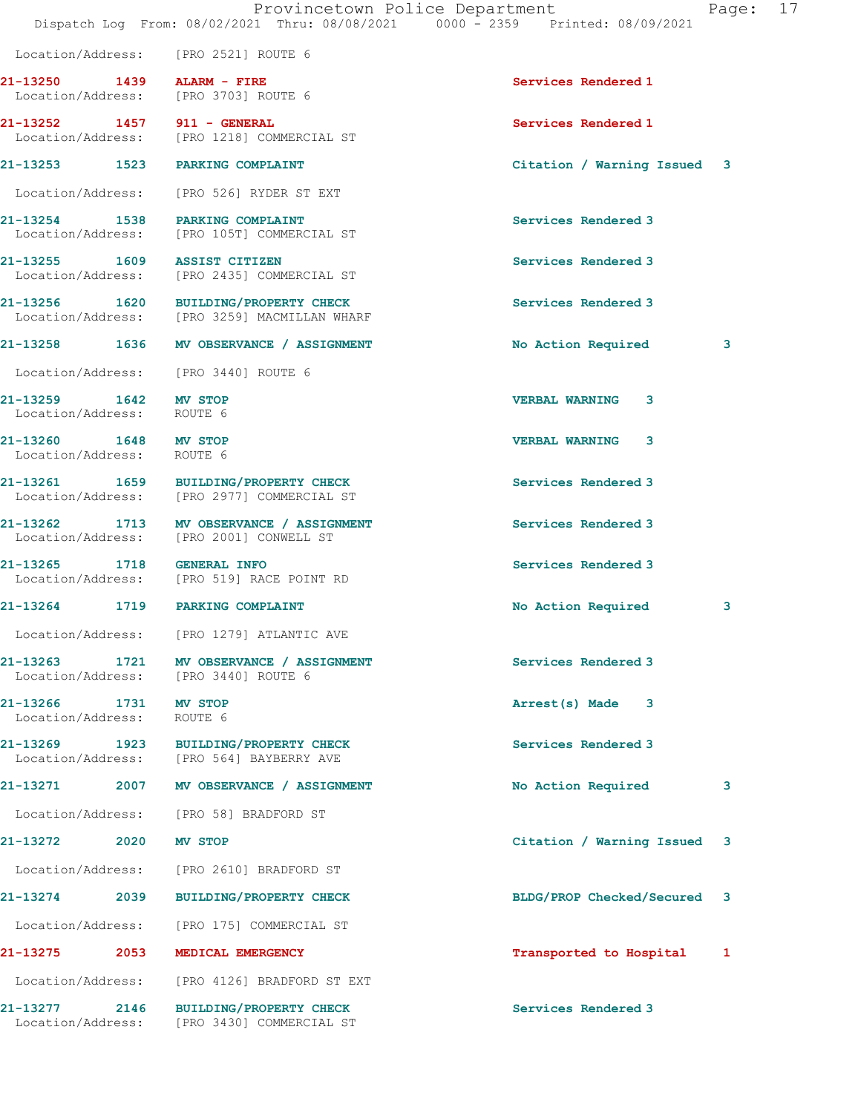|                                                    |                                                                                       | Dispatch Log From: 08/02/2021 Thru: 08/08/2021 0000 - 2359 Printed: 08/09/2021 |   |
|----------------------------------------------------|---------------------------------------------------------------------------------------|--------------------------------------------------------------------------------|---|
|                                                    | Location/Address: [PRO 2521] ROUTE 6                                                  |                                                                                |   |
| 21-13250 1439 ALARM - FIRE                         | Location/Address: [PRO 3703] ROUTE 6                                                  | Services Rendered 1                                                            |   |
| 21-13252 1457 911 - GENERAL                        | Location/Address: [PRO 1218] COMMERCIAL ST                                            | Services Rendered 1                                                            |   |
|                                                    | 21-13253 1523 PARKING COMPLAINT                                                       | Citation / Warning Issued 3                                                    |   |
|                                                    | Location/Address: [PRO 526] RYDER ST EXT                                              |                                                                                |   |
|                                                    | 21-13254 1538 PARKING COMPLAINT<br>Location/Address: [PRO 105T] COMMERCIAL ST         | Services Rendered 3                                                            |   |
| 21-13255 1609 ASSIST CITIZEN                       | Location/Address: [PRO 2435] COMMERCIAL ST                                            | Services Rendered 3                                                            |   |
|                                                    | 21-13256 1620 BUILDING/PROPERTY CHECK<br>Location/Address: [PRO 3259] MACMILLAN WHARF | Services Rendered 3                                                            |   |
|                                                    | 21-13258 1636 MV OBSERVANCE / ASSIGNMENT                                              | No Action Required                                                             | 3 |
|                                                    | Location/Address: [PRO 3440] ROUTE 6                                                  |                                                                                |   |
| 21-13259 1642 MV STOP<br>Location/Address: ROUTE 6 |                                                                                       | <b>VERBAL WARNING</b><br>3                                                     |   |
| 21-13260 1648 MV STOP<br>Location/Address: ROUTE 6 |                                                                                       | 3<br><b>VERBAL WARNING</b>                                                     |   |
|                                                    | 21-13261 1659 BUILDING/PROPERTY CHECK<br>Location/Address: [PRO 2977] COMMERCIAL ST   | Services Rendered 3                                                            |   |
|                                                    | 21-13262 1713 MV OBSERVANCE / ASSIGNMENT<br>Location/Address: [PRO 2001] CONWELL ST   | Services Rendered 3                                                            |   |
| 21-13265 1718 GENERAL INFO                         | Location/Address: [PRO 519] RACE POINT RD                                             | Services Rendered 3                                                            |   |
|                                                    | 21-13264 1719 PARKING COMPLAINT                                                       | No Action Required                                                             | 3 |
|                                                    | Location/Address: [PRO 1279] ATLANTIC AVE                                             |                                                                                |   |
| 21-13263<br>1721                                   | MV OBSERVANCE / ASSIGNMENT<br>Location/Address: [PRO 3440] ROUTE 6                    | Services Rendered 3                                                            |   |
| 21-13266 1731 MV STOP<br>Location/Address: ROUTE 6 |                                                                                       | Arrest(s) Made<br>-3                                                           |   |
| 21-13269 1923                                      | BUILDING/PROPERTY CHECK<br>Location/Address: [PRO 564] BAYBERRY AVE                   | Services Rendered 3                                                            |   |
| 21-13271<br>2007                                   | MV OBSERVANCE / ASSIGNMENT                                                            | No Action Required                                                             | 3 |
|                                                    | Location/Address: [PRO 58] BRADFORD ST                                                |                                                                                |   |
| 21-13272<br>2020                                   | MV STOP                                                                               | Citation / Warning Issued                                                      | 3 |
|                                                    | Location/Address: [PRO 2610] BRADFORD ST                                              |                                                                                |   |
| 21-13274 2039                                      | <b>BUILDING/PROPERTY CHECK</b>                                                        | BLDG/PROP Checked/Secured                                                      | 3 |
| Location/Address:                                  | [PRO 175] COMMERCIAL ST                                                               |                                                                                |   |
| 2053<br>21-13275                                   | MEDICAL EMERGENCY                                                                     | Transported to Hospital                                                        | 1 |
| Location/Address:                                  | [PRO 4126] BRADFORD ST EXT                                                            |                                                                                |   |
| 21-13277<br>2146                                   | <b>BUILDING/PROPERTY CHECK</b><br>Location/Address: [PRO 3430] COMMERCIAL ST          | Services Rendered 3                                                            |   |

Provincetown Police Department Fage: 17